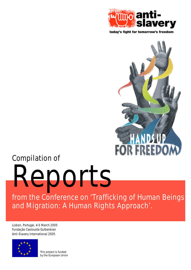

today's fight for tomorrow's freedom



# **Compilation of**

**Reports**

**from the Conference on 'Trafficking of Human Beings and Migration: A Human Rights Approach'.**

Lisbon, Portugal, 4-5 March 2005 Fundação Caolouste Gulbenkian **Anti-Slavery International 2005**



This project is funded by the European Union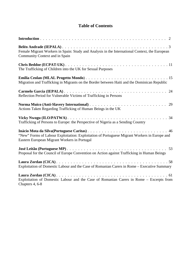# **Table of Contents**

| Female Migrant Workers in Spain: Study and Analysis in the International Context, the European<br>Community Context and in Spain             |
|----------------------------------------------------------------------------------------------------------------------------------------------|
| The Trafficking of Children into the UK for Sexual Purposes                                                                                  |
| Migration and Trafficking in Migrants on the Border between Haiti and the Dominican Republic                                                 |
| Reflection Period for Vulnerable Victims of Trafficking in Persons                                                                           |
| Actions Taken Regarding Trafficking of Human Beings in the UK                                                                                |
| Trafficking of Persons to Europe: the Perspective of Nigeria as a Sending Country                                                            |
| "New" Forms of Labour Exploitation: Exploitation of Portuguese Migrant Workers in Europe and<br>Eastern European Migrant Workers in Portugal |
| Proposal for the Council of Europe Convention on Action against Trafficking in Human Beings                                                  |
| Exploitation of Domestic Labour and the Case of Romanian Carers in Rome - Executive Summary                                                  |
| Exploitation of Domestic Labour and the Case of Romanian Carers in Rome - Excerpts from<br>Chapters 4, 6-8                                   |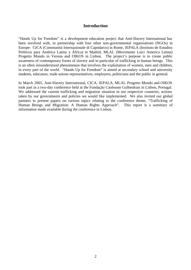# **Introduction**

"Hands Up for Freedom" is a development education project that Anti-Slavery International has been involved with, in partnership with four other non-governmental organisations (NGOs) in Europe: CICA (Communità Internazionale di Capodarco) in Rome, IEPALA (Instituto de Estudios Políticos para América Latina y África) in Madrid, MLAL (Movimento Laici America Latina) Progetto Mondo in Verona and OIKOS in Lisbon. The project's purpose is to create public awareness of contemporary forms of slavery and in particular of trafficking in human beings. This is an often misunderstood phenomenon that involves the exploitation of women, men and children, in every part of the world. "Hands Up for Freedom" is aimed at secondary school and university students, educators, trade unions representatives, employers, politicians and the public in general.

In March 2005, Anti-Slavery International, CICA, IEPALA, MLAL Progetto Mondo and OIKOS took part in a two-day conference held at the Fundação Caolouste Gulbenkian in Lisbon, Portugal. We addressed the current trafficking and migration situation in our respective countries, actions taken by our governments and policies we would like implemented. We also invited our global partners to present papers on various topics relating to the conference theme, "Trafficking of Human Beings and Migration: A Human Rights Approach". This report is a summary of information made available during the conference in Lisbon.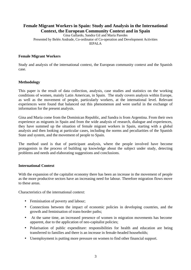# **Female Migrant Workers in Spain: Study and Analysis in the International Context, the European Community Context and in Spain**

Gina Gallardo, Sandra Gil and María Paredes Presented by Belén Andrade, Co-ordinator of Co-operation and Development Activities IEPALA

#### **Female Migrant Workers**

Study and analysis of the international context, the European community context and the Spanish case.

#### **Methodology**

This paper is the result of data collection, analysis, case studies and statistics on the working conditions of women, mainly Latin American, in Spain. The study covers analysis within Europe, as well as the movement of people, particularly workers, at the international level. Relevant experiences were found that balanced out this phenomenon and were useful in the exchange of information for the present analysis.

Gina and Maria come from the Dominican Republic, and Sandra is from Argentina. From their own experience as migrants in Spain and from the wide analysis of research, dialogue and experiences, they have summed up the situation of female migrant workers in Spain, starting with a global analysis and then looking at particular cases, including the norms and peculiarities of the Spanish State and system, and the movement of people to Spain.

The method used is that of participant analysis, where the people involved have become protagonists in the process of building up knowledge about the subject under study, detecting problems and needs and elaborating suggestions and conclusions.

#### **International Context**

With the expansion of the capitalist economy there has been an increase in the movement of people as the more productive sectors have an increasing need for labour. Therefore migration flows move to these areas.

Characteristics of the international context:

- Feminisation of poverty and labour;
- Connections between the impact of economic policies in developing countries, and the growth and feminisation of trans-border paths;
- At the same time, an increased presence of women in migration movements has become apparent, due to the application of neo-capitalist policies;
- Polarisation of public expenditure: responsibilities for health and education are being transferred to families and there is an increase in female-headed households;
- Unemployment is putting more pressure on women to find other financial support.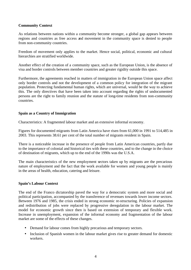# **Community Context**

As relations between nations within a community become stronger, a global gap appears between regions and countries as free access and movement in the community space is denied to people from non-community countries.

Freedom of movement only applies to the market. Hence social, political, economic and cultural hierarchies are stratified worldwide.

Another effect of the creation of a community space, such as the European Union, is the absence of visa and border controls between member countries and greater rigidity outside this space.

Furthermore, the agreements reached in matters of immigration in the European Union space affect only border controls and not the development of a common policy for integration of the migrant population. Protecting fundamental human rights, which are universal, would be the way to achieve this. The only directives that have been taken into account regarding the rights of undocumented persons are the right to family reunion and the statute of long-time residents from non-community countries.

#### **Spain as a Country of Immigration**

Characteristics: A fragmented labour market and an extensive informal economy.

Figures for documented migrants from Latin America have risen from 61,000 in 1991 to 514,485 in 2003. This represents 38.61 per cent of the total number of migrants resident in Spain.

There is a noticeable increase in the presence of people from Latin American countries, partly due to the importance of colonial and historical ties with these countries, and to the change in the choice of destination of migrants, which up to the end of the 1990s was the U.S.A.

The main characteristics of the new employment sectors taken up by migrants are the precarious nature of employment and the fact that the work available for women and young people is mainly in the areas of health, education, catering and leisure.

#### **Spain's Labour Context**

The end of the Franco dictatorship paved the way for a democratic system and more social and political participation, accompanied by the transference of revenues towards lower income sectors. Between 1976 and 1985, the crisis ended in strong economic re-structuring. Policies of expansion and redistribution of jobs were replaced by progressive deregulation in the labour market. The model for economic growth since then is based on extension of temporary and flexible work. Increase in unemployment, expansion of the informal economy and fragmentation of the labour market are some of the effects of these changes.

- Demand for labour comes from highly precarious and temporary sectors.
- Inclusion of Spanish women in the labour market gives rise to greater demand for domestic workers.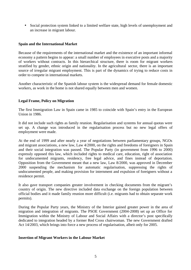• Social protection system linked to a limited welfare state, high levels of unemployment and an increase in migrant labour.

# **Spain and the International Market**

Because of the requirements of the international market and the existence of an important informal economy a pattern begins to appear: a small number of employees in executive posts and a majority of workers without contracts. In this hierarchical structure, there is room for migrant workers stratified by gender, ethnic origin and nationality. In the agricultural sector, there is an important source of irregular migrant employment. This is part of the dynamics of trying to reduce costs in order to compete in international markets.

Another characteristic of the Spanish labour system is the widespread demand for female domestic workers, as work in the home is not shared equally between men and women.

# **Legal Frame, Policy on Migration**

The first Immigration Law in Spain came in 1985 to coincide with Spain's entry in the European Union in 1986.

It did not include such rights as family reunion. Regularisation and systems for annual quotas were set up. A change was introduced in the regularisation process but no new legal offers of employment were made.

At the end of 1999 and after nearly a year of negotiations between parliamentary groups, NGOs and migrant associations, a new law, Law 4/2000, on the rights and freedoms of foreigners in Spain and their social integration was passed. The Popular Party (in government from 1996 to 2000) expressly opposed this law, which included rights to medical care, education, right of association for undocumented migrants, residency, free legal advice, and fines instead of deportation. Opposition from the Government meant that a new law, Law 8/2000, was approved in December 2000 suspending the mechanism for automatic regularisation, suppressing the rights of undocumented people, and making provision for internment and expulsion of foreigners without a residence permit.

It also gave transport companies greater involvement in checking documents from the migrant's country of origin. The new directive included data exchange on the foreign population between official bodies and it made family reunion more difficult (i.e. migrants had to obtain separate work permits).

During the Popular Party years, the Ministry of the Interior gained greater power in the area of migration and integration of migrants. The PSOE Government (2004-2008) set up an Office for Immigration within the Ministry of Labour and Social Affairs with a director's post specifically dedicated to integration headed by a former Red Cross chairwoman. The new Government drafted Act 14/2003, which brings into force a new process of regularisation, albeit only for 2005.

# **Insertion of Migrant Workers in the Labour Market**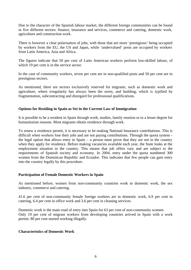Due to the character of the Spanish labour market, the different foreign communities can be found in five different sectors: finance, insurance and services, commerce and catering, domestic work, agriculture and construction work.

There is however a clear polarisation of jobs, with those that are more 'prestigious' being occupied by workers from the EU, the US and Japan, while 'undervalued' posts are occupied by workers from Latin America, Asia and Africa.

The figures indicate that 50 per cent of Latin American workers perform low-skilled labour, of which 19 per cent is in the service sector.

In the case of community workers, seven per cent are in non-qualified posts and 50 per cent are in prestigious sectors.

As mentioned, there are sectors exclusively reserved for migrants, such as domestic work and agriculture, where irregularity has always been the norm, and building, which is typified by fragmentation, subcontracting and disregard for professional qualifications.

# **Options for Residing in Spain as Set in the Current Law of Immigration**

It is possible to be a resident in Spain through work, studies, family reunion or to a lesser degree for humanitarian reasons. Most migrants obtain residence through work.

To renew a residence permit, it is necessary to be making National Insurance contributions. This is difficult when workers lose their jobs and are not paying contributions. Through the quota system – the legal option that allows entry in Spain – a person must prove that they are not in the country when they apply for residence. Before making vacancies available each year, the State looks at the employment situation in the country. This means that job offers vary and are subject to the requirements of Spanish society and economy. In 2004, entry under the quota numbered 300 women from the Dominican Republic and Ecuador. This indicates that few people can gain entry into the country legally by this procedure.

# **Participation of Female Domestic Workers in Spain**

As mentioned before, women from non-community countries work in domestic work, the sex industry, commerce and catering.

41.6 per cent of non-community female foreign workers are in domestic work, 6.9 per cent in catering, 6.4 per cent in office work and 3.6 per cent in cleaning services.

Domestic work is the main road of entry into Spain for 63 per cent of non-community women. Only 19 per cent of migrant workers from developing countries arrived in Spain with a work permit. 80 per cent started working illegally.

#### **Characteristics of Domestic Work**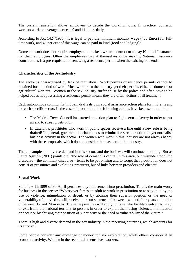The current legislation allows employers to decide the working hours. In practice, domestic workers work on average between 9 and 11 hours daily.

According to Act 1424/1985, "it is legal to pay the minimum monthly wage (460 Euros) for fulltime work, and 45 per cent of this wage can be paid in kind (food and lodging)".

Domestic work does not require employers to make a written contract or to pay National Insurance for their employees. Often the employees pay it themselves since making National Insurance contributions is a pre-requisite for renewing a residence permit when the existing one ends.

# **Characteristics of the Sex Industry**

The sector is characterised by lack of regulation. Work permits or residence permits cannot be obtained for this kind of work. Most workers in the industry get their permits either as domestic or agricultural workers. Women in the sex industry suffer abuse by the police and often have to be helped out as not possessing a residence permit means they are often victims of ill treatment.

Each autonomous community in Spain drafts its own social assistance action plans for migrants and for each specific sector. In the case of prostitution, the following actions have been set in motion:

- The Madrid Town Council has started an action plan to fight sexual slavery in order to put an end to street prostitution.
- In Catalonia, prostitutes who work in public spaces receive a fine until a new rule is being drafted! In general, government debate tends to criminalise street prostitution yet normalise business activity in the sector. The women who work in this industry are not always happy with these proposals, which do not consider them as part of the industry.

There is ample and diverse demand in this sector, and the business will continue blooming. But as Laura Agustin (2001) points out, "the role of demand is central in this area, but misunderstood; the discourse – the dominant discourse – tends to be patronising and to forget that prostitution does not consist of prostitutes and exploiting procurers, but of links between providers and clients".

#### **Sexual Work**

State law 11/1999 of 30 April penalises any inducement into prostitution. This is the main worry for business in the sector: "Whosoever forces an adult to work in prostitution or to stay in it, by the use of violence, intimidation or deceit, or by abusing their superior position or the need or vulnerability of the victim, will receive a prison sentence of between two and four years and a fine of between 12 and 24 months. The same penalties will apply to those who facilitate entry into, stay, or exit from, the national territory to persons in order to exploit them using violence, intimidation or deceit or by abusing their position of superiority or the need or vulnerability of the victim."

There is high and diverse demand in the sex industry in the receiving countries, which accounts for its survival.

Some people consider any exchange of money for sex exploitation, while others consider it an economic activity. Women in the sector call themselves workers.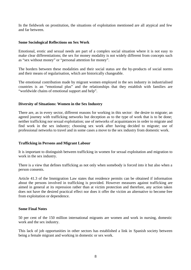In the fieldwork on prostitution, the situations of exploitation mentioned are all atypical and few and far between.

#### **Some Sociological Reflections on Sex Work**

Emotional, erotic and sexual needs are part of a complex social situation where it is not easy to make clear differentiations; the sex for money modality is not widely different from concepts such as "sex without money" or "personal attention for money".

The borders between these modalities and their social status are the by-products of social norms and their means of regularisation, which are historically changeable.

The emotional contribution made by migrant women employed in the sex industry in industrialised countries is an "emotional plus" and the relationships that they establish with families are "worldwide chains of emotional support and help".

# **Diversity of Situations: Women in the Sex Industry**

There are, as in every sector, different reasons for working in this sector: the desire to migrate; an agreed journey with trafficking networks but deception as to the type of work that is to be done; neither trafficking nor sexual exploitation; use of networks of acquaintances in order to migrate and find work in the sex industry; choosing sex work after having decided to migrate; use of professional networks to travel and in some cases a move to the sex industry from domestic work.

#### **Trafficking in Persons and Migrant Labour**

It is important to distinguish between trafficking in women for sexual exploitation and migration to work in the sex industry.

There is a view that defines trafficking as not only when somebody is forced into it but also when a person consents.

Article 41.3 of the Immigration Law states that residence permits can be obtained if information about the persons involved in trafficking is provided. However measures against trafficking are aimed in general at its repression rather than at victim protection and therefore, any action taken does not have the desired practical effect nor does it offer the victim an alternative to become free from exploitation or dependence.

#### **Some Final Notes**

50 per cent of the 150 million international migrants are women and work in nursing, domestic work and the sex industry.

This lack of job opportunities in other sectors has established a link in Spanish society between being a female migrant and working in domestic or sex work.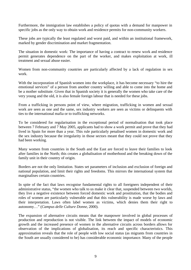Furthermore, the immigration law establishes a policy of quotas with a demand for manpower in specific jobs as the only way to obtain work and residence permits for non-community workers.

These jobs are typically the least regulated and worst paid, and within an institutional framework, marked by gender discrimination and market fragmentation.

The situation in domestic work: The importance of having a contract to renew work and residence permit generates dependence on the part of the worker, and makes exploitation at work, ill treatment and sexual abuse easier.

Women from non-community countries are particularly affected by a lack of regulation in sex work.

With the incorporation of Spanish women into the workplace, it has become necessary "to hire the emotional services" of a person from another country willing and able to come into the home and be a mother substitute. Given that in Spanish society it is generally the women who take care of the very young and the old, it is also female foreign labour that is needed for these jobs.

From a trafficking in persons point of view, where migration, trafficking in women and sexual work are seen as one and the same, sex industry workers are seen as victims or delinquents with ties to the international mafia or to trafficking networks.

To be considered for regularisation in the exceptional period of normalisation that took place between 7 February and 7 May 2005, applicants had to show a work permit and prove that they had lived in Spain for more than a year. This rule particularly penalised women in domestic work and the sex industry because the irregularity in those sectors meant that they could not prove that they had been working.

Many women from countries in the South and the East are forced to leave their families to look after families in the North; this creates a globalisation of motherhood and the breaking down of the family unit in their country of origin.

Borders are not the only limitation. States set parameters of inclusion and exclusion of foreign and national population, and limit their rights and freedoms. This mirrors the international system that marginalises certain countries.

In spite of the fact that laws recognise fundamental rights to all foreigners independent of their administrative status, "the women who talk to us make it clear that, suspended between two worlds, they live a negative existence between forced domestic work and prostitution, that the bodies and roles of women are particularly vulnerable and that this vulnerability is made worse by laws and their interpretation. Laws often label women as victims, which denies them their right to autonomy…" (*Campus delle Culture Donne*, 2000).

The expansion of alternative circuits means that the manpower involved in global processes of production and reproduction is not visible. The link between the impact of models of economic growth and the increased presence of women in the alternative circuits across borders allows for observation of the implications of globalisation, its reach and specific characteristics. This approximation reveals that the role of people with low social status (as migrants from countries in the South are usually considered to be) has considerable economic importance. Many of the people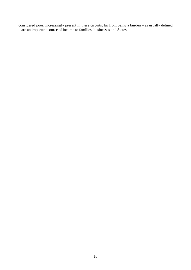considered poor, increasingly present in these circuits, far from being a burden – as usually defined – are an important source of income to families, businesses and States.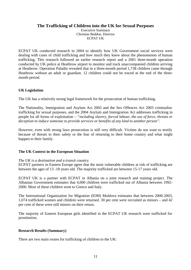# **The Trafficking of Children into the UK for Sexual Purposes**

Executive Summary Christine Beddoe, Director ECPAT UK

ECPAT UK conducted research in 2004 to identify how UK Government social services were dealing with cases of child trafficking and how much they knew about the phenomenon of human trafficking. This research followed an earlier research report and a 2001 three-month operation conducted by UK police at Heathrow airport to monitor and track unaccompanied children arriving at Heathrow. Operation Paladin revealed that in a three-month period 1,738 children came through Heathrow without an adult or guardian. 12 children could not be traced at the end of the threemonth period.

# **UK Legislation**

The UK has a relatively strong legal framework for the prosecution of human trafficking.

The Nationality, Immigration and Asylum Act 2003 and the Sex Offences Act 2003 criminalise trafficking for sexual purposes, and the 2004 Asylum and Immigration Act addresses trafficking in people for all forms of exploitation – *"including slavery, forced labour, the use of force, threats or deception to induce someone to provide services or benefits of any kind to another person"*.

However, even with strong laws prosecution is still very difficult. Victims do not want to testify because of threats to their safety or the fear of returning to their home country and what might happen to their family.

# **The UK Context in the European Situation**

# *The UK is a destination and a transit country.*

ECPAT partners in Eastern Europe agree that the most vulnerable children at risk of trafficking are between the ages of 13 -18 years old. The majority trafficked are between 15-17 years old.

ECPAT UK is a partner with ECPAT in Albania on a joint research and training project. The Albanian Government estimates that 4,000 children were trafficked out of Albania between 1992- 2000. Most of these children went to Greece and Italy.

The International Organization for Migration (IOM) Moldova estimates that between 2000-2003, 1,074 trafficked women and children were returned. 30 per cent were recruited as minors – and 42 per cent of these were still minors on their return.

The majority of Eastern European girls identified in the ECPAT UK research were trafficked for prostitution.

# **Research Results (Summary)**

There are two main routes for trafficking of children to the UK: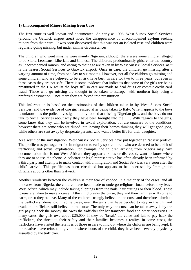#### **1) Unaccompanied Minors Missing from Care**

The first route is well known and documented. As early as 1995, West Sussex Social Services (around the Gatwick airport area) noted the disappearance of unaccompanied asylum seeking minors from their care. It was soon discovered that this was not an isolated case and children were regularly going missing, but under similar circumstances.

The children who went missing were mainly Nigerian, although there were some children alleged to be Sierra Leoneans, Liberians and Chinese. The children, predominantly girls, enter the country as unaccompanied minors, and owing to their age are taken in by West Sussex Social Services, as it is the nearest Social Services to Gatwick airport. Once in care, the children go missing after a varying amount of time, from one day to six months. However, not all the children go missing and some children who are believed to be at risk have been in care for two to three years, but even in these cases they are not safe. There is some evidence that indicates that some of the girls are being prostituted in the UK whilst the boys still in care are made to deal drugs or commit credit card fraud. Those who go missing are thought to be taken to Europe, with northern Italy being a preferred destination. Once there they are forced into prostitution.

This information is based on the testimonies of the children taken in by West Sussex Social Services, and the evidence of one girl rescued after being taken to Italy. What happens to the boys is unknown, as the police investigation only looked at missing Nigerian girls, and the boys do not talk to Social Services about why they have been brought into the UK. With regards to the girls, some know that they will be involved in sexual exploitation, but are unaware of the conditions, however there are some who are duped into leaving their homes thinking they will get good jobs, while others are sent away by desperate parents, who want a better life for their daughter.

As a result of the investigation, West Sussex Social Services have put together an 'at risk profile'. The profile was put together for Immigration to easily spot children who are deemed to be a risk of trafficking and sexual exploitation. For example, the children arriving from Nigeria may have documentation that is not West African, they appear anxious or distressed, want to know where they are or to use the phone. A solicitor or legal representative has often already been informed by a third party and attempts to make contact with Immigration and Social Services very soon after the child's arrival. This profile has been circulated but appears to be underused by Immigration Officials at ports other than Gatwick.

Another similarity between the children is their fear of voodoo. In a majority of the cases, and all the cases from Nigeria, the children have been made to undergo religious rituals before they leave West Africa, which may include taking clippings from the nails, hair cuttings or their blood. These tokens are taken to make a curse. If the child breaks the curse, they and their families will come to harm, or so they believe. Many of the children strongly believe in the curse and therefore submit to the traffickers' demands. In some cases, even the girls that have decided to stay in the UK and evade the traffickers still believe in the curse. The only way the curse can be taken away is by the girl paying back the money she owes the trafficker for her transport, food and other necessities. In many cases, the girls owe about £25,000. If they do 'break' the curse and fail to pay back the traffickers, the threat to their safety and their families becomes a reality. In some cases, the traffickers have visited the relatives of those in care to find out where the children are being kept. If the relatives have refused to give the whereabouts of the child, they have been severely physically assaulted by the trafficker.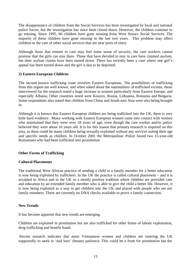The disappearance of children from the Social Services has been investigated by local and national police forces, but the investigation has since been closed down. However, the children continue to go missing. Since 1995, 66 children have gone missing from West Sussex Social Services. The majority of these children have gone missing in the last two years. This problem may affect children in the care of other social services that are near ports of entry.

Although those that remain in care may feel some sense of security, the care workers cannot promise that the girls can stay there. Those that have decided to stay in care have claimed asylum, but their asylum claims have been turned down. There has recently been a case where one girl's appeal has been turned down and the girl is due to be deported.

# **2) Eastern European Children**

The second known trafficking route involves Eastern Europeans. The possibilities of trafficking from this region are well known, and when asked about the nationalities of trafficked victims, those interviewed for the research noted a huge increase in women particularly from Eastern Europe, and especially Albania. Other countries noted were Kosovo, Russia, Lithuania, Romania and Bulgaria. Some respondents also stated that children from China and South-east Asia were also being brought in.

Although it is known that Eastern European children are being trafficked into the UK, there is very little hard evidence. Many working with Eastern European women came into contact with women who maintained that they were over 18 years of age, even though the care worker and/or police believed they were about 16 years old. It is for this reason that primary research is required on this area, as there could be many children being sexually exploited without any services noting their age and specific needs as children. In October 2001 the Metropolitan Police found two 15-year-old Romanians who had been trafficked into prostitution

# **Other Forms of Trafficking**

#### **Cultural Placements**

The traditional West African practice of sending a child to a family member for a better education is now being exploited by traffickers. In the UK the practice is called cultural placement – and it is accepted in Africa and in the UK as a mostly positive tradition where children are provided care and education by an extended family member who is able to give the child a better life. However, it is now being exploited as a way to get children into the UK and placed with people who are not family members. There are currently no DNA checks available to prove a family connection.

#### **New Trends**

It has become apparent that new trends are emerging.

Children are exploited in prostitution but are also trafficked for other forms of labour exploitation, drug trafficking and benefit fraud.

 Recent research indicates that more Vietnamese women and children are entering the UK supposedly to work in 'nail bars' (beauty parlours). This could be a front for prostitution but the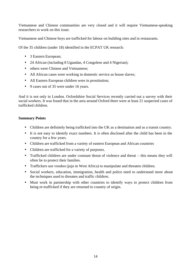Vietnamese and Chinese communities are very closed and it will require Vietnamese-speaking researchers to work on this issue.

Vietnamese and Chinese boys are trafficked for labour on building sites and in restaurants.

Of the 35 children (under 18) identified in the ECPAT UK research:

- 3 Eastern European;
- 24 African (including 8 Ugandan, 4 Congolese and 4 Nigerian);
- others were Chinese and Vietnamese;
- All African cases were working in domestic service as house slaves;
- All Eastern European children were in prostitution;
- 9 cases out of 35 were under 16 years.

And it is not only in London. Oxfordshire Social Services recently carried out a survey with their social workers. It was found that in the area around Oxford there were at least 21 suspected cases of trafficked children.

# **Summary Points**

- Children are definitely being trafficked into the UK as a destination and as a transit country.
- It is not easy to identify exact numbers. It is often disclosed after the child has been in the country for a few years.
- Children are trafficked from a variety of eastern European and African countries
- Children are trafficked for a variety of purposes.
- Trafficked children are under constant threat of violence and threat this means they will often lie to protect their families.
- Traffickers use voodoo (juju in West Africa) to manipulate and threaten children.
- Social workers, education, immigration, health and police need to understand more about the techniques used to threaten and traffic children.
- Must work in partnership with other countries to identify ways to protect children from being re-trafficked if they are returned to country of origin.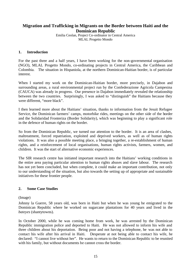# **Migration and Trafficking in Migrants on the Border between Haiti and the Dominican Republic**

Emilia Ceolan, Project Co-ordinator in Central America MLAL Progetto Mondo

#### **1. Introduction**

For the past three and a half years, I have been working for the non-governmental organisation (NGO), MLAL Progetto Mondo, co-ordinating projects in Central America, the Caribbean and Colombia. The situation in Hispaniola, at the northern Dominican-Haitian border, is of particular interest.

When I started my work on the Dominican-Haitian border, more precisely, in Dajabon and surrounding areas, a rural environmental project run by the Confederazione Agricola Campesina (CAUCA) was already in progress. Our presence in Dajabon immediately revealed the relationship between the two countries. Surprisingly, I was asked to "distinguish" the Haitians because they were different, "more black".

I then learned more about the Haitians' situation, thanks to information from the Jesuit Refugee Service, the Dominican farmers' camps, motorbike rides, meetings on the other side of the border and the Solidaridad Fronteriza (Border Solidarity), which was beginning to play a significant role in the defence of human rights on the border.

So from the Dominican Republic, we turned our attention to the border. It is an area of clashes, maltreatment, forced repatriation, exploited and deprived workers, as well as of human rights violations. It was also a possible meeting place, a bringing together, a re-establishment of human rights, and a reinforcement of local organisations, human rights activists, farmers, women, and children. It was the start of alternative economic experiences.

The SIR research centre has initiated important research into the Haitians' working conditions in the entire area paying particular attention to human rights abuses and slave labour. The research has not yet been concluded, but when complete, it could make an important contribution, not only to our understanding of the situation, but also towards the setting up of appropriate and sustainable initiatives for these frontier people.

#### **2. Some Case Studies**

(Image)

Johnny la Guerre, 58 years old, was born in Haiti but when he was young he emigrated to the Dominican Republic where he worked on sugarcane plantations for 40 years and lived in the *bateyes* (shantytowns).

In October 2000, while he was coming home from work, he was arrested by the Dominican Republic immigration police and deported to Haiti. He was not allowed to inform his wife and three children about his deportation. Being poor and not having a telephone, he was not able to contact his wife after his arrival in Haiti. Desperate at not being able to contact his wife, he declared: "I cannot live without her". He wants to return to the Dominican Republic to be reunited with his family, but without documents he cannot cross the border.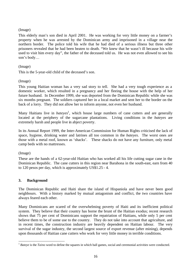# (Image)

This elderly man's son died in April 2001. He was working for very little money on a farmer's property when he was arrested by the Dominican army and imprisoned in a village near the northern border. The police told his wife that he had died of a serious illness but three other prisoners revealed that he had been beaten to death. "We knew that he wasn't ill because his wife used to visit him every day", the father of the deceased told us. He was not even allowed to see his son's body…

#### (Image)

This is the 5-year-old child of the deceased's son.

#### (Image)

This young Haitian woman has a very sad story to tell. She had a very tough experience as a domestic worker, which resulted in a pregnancy and her fleeing the house with the help of her future husband. In December 1999, she was deported from the Dominican Republic while she was six months pregnant. The soldiers captured her in a local market and sent her to the border on the back of a lorry. They did not allow her to inform anyone, not even her husband.

Many Haitians live in *bateyes*<sup>1</sup>, which house large numbers of cane cutters and are generally located at the periphery of the sugarcane plantations. Living conditions in the *bateyes* are extremely harsh and people live in abject poverty.

In its Annual Report 1999, the Inter-American Commission for Human Rights criticised the lack of space, hygiene, drinking water and latrines all too common in the *bateyes*. The worst ones are those with a metal roof, known as 'shacks'. These shacks do not have any furniture, only metal camp beds with no mattresses.

(Image)

These are the hands of a 62-year-old Haitian who has worked all his life cutting sugar cane in the Dominican Republic. The cane cutters in this region near Barahona in the south-east, earn from 40 to 120 pesos per day, which is approximately US\$1.25 - 4.

# **3. Background**

The Dominican Republic and Haiti share the island of Hispaniola and have never been good neighbours. With a history marked by mutual antagonism and conflict, the two countries have always feared each other.

Many Dominicans are scared of the overwhelming poverty of Haiti and its inefficient political system. They believe that their country has borne the brunt of the Haitian exodus; recent research shows that 75 per cent of Dominicans support the repatriation of Haitians, while only 5 per cent believe them to be of some use to the country. They do not take into account that agriculture, and in recent times, the construction industry are heavily dependent on Haitian labour. The very survival of the sugar industry, the second largest source of export revenue (after mining), depends upon thousands of Haitian cane cutters who work for very little money in terrible conditions.

 $\overline{a}$ <sup>1</sup> *Bateye* is the *Taino* word to define the squares in which ball games, social and ceremonial activities were conducted.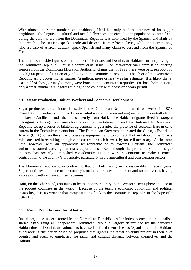With almost the same numbers of inhabitants, Haiti has only half the territory of its bigger neighbour. The linguistic, cultural and racial differences perceived by the population became fixed during the colonial era when the Dominican Republic was colonised by the Spanish and Haiti by the French. The Haitians speak Creole and descend from African slaves, while the Dominicans, who are also of African descent, speak Spanish and many claim to descend from the Spanish or French.

There are no reliable figures on the number of Haitians and Dominican-Haitians currently living in the Dominican Republic. This is a controversial issue. The Inter-American Commission, quoting sources from the Dominican Migration Authority, claims that in 1999 there were between 500,000 to 700,000 people of Haitian origin living in the Dominican Republic. The chief of the Dominican Republic army quotes higher figures: "a million, more or less" was his estimate. It is likely that at least half of these, or maybe more, were born in the Dominican Republic. Of those born in Haiti, only a small number are legally residing in the country with a visa or a work permit.

# **3.1 Sugar Production, Haitian Workers and Economic Development**

Sugar production on an industrial scale in the Dominican Republic started to develop in 1870. From 1880, the industry employed a substantial number of seasonal migrant labourers initially from the Lower Antilles islands then subsequently from Haiti. The Haitian migrants lived in *bateyes* belonging to the sugar companies located near the plantations. From 1952 Haiti and the Dominican Republic set up a series of bilateral agreements to guarantee the presence of seasonal Haitian cane cutters in the Dominican plantations. The Dominican Government created the Consejo Estatal de Azucar (CEA) to run the sugar processing equipment and to contract Haitian labour. The CEA's role consisted in recruiting enough cane cutters for each harvest, by force if necessary. At the same time, however, with an apparently schizophrenic policy towards Haitians, the Dominican authorities started carrying out mass deportations. Even though the profitability of the sugar industry has recently diminished considerably, Haitian workers continue to make a crucial contribution to the country's prosperity, particularly in the agricultural and construction sectors.

The Dominican economy, in contrast to that of Haiti, has grown considerably in recent years. Sugar continues to be one of the country's main exports despite tourism and tax-free zones having also significantly increased their revenues.

Haiti, on the other hand, continues to be the poorest country in the Western Hemisphere and one of the poorest countries in the world. Because of the terrible economic conditions and political instability, it is no wonder that many Haitians flock to the Dominican Republic in the hope of a better life.

# **3.2 Racial Prejudice and Anti-Haitism**

Racial prejudice is deep-rooted in the Dominican Republic. After independence, the nationalists started establishing an independent Dominican Republic, largely determined by the perceived Haitian threat. Dominican nationalists have self-defined themselves as 'Spanish' and the Haitians as 'blacks'; a distinction based on prejudice that ignores the racial diversity present in their own country and seeks to emphasise the racial and cultural distance between themselves and the Haitians.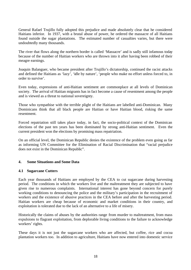General Rafael Trujillo fully adopted this prejudice and made absolutely clear that he considered Haitians inferior. In 1937, with a brutal abuse of power, he ordered the massacre of all Haitians found outside the sugar plantations. The estimated number of casualties varies, but there were undoubtedly many thousands.

The river that flows along the northern border is called 'Massacre' and is sadly still infamous today because of the number of Haitian workers who are thrown into it after having been robbed of their meagre earnings.

Joaquin Balanguer, who became president after Trujillo's dictatorship, continued the racist attacks and defined the Haitians as 'lazy', 'idle by nature', 'people who make no effort unless forced to, in order to survive'.

Even today, expressions of anti-Haitian sentiment are commonplace at all levels of Dominican society. The arrival of Haitian migrants has in fact become a cause of resentment among the people and is viewed as a threat to national sovereignty.

Those who sympathise with the terrible plight of the Haitians are labelled anti-Dominican. Many Dominicans think that all black people are Haitian or have Haitian blood, risking the same resentment.

Forced repatriation still takes place today, in fact, the socio-political context of the Dominican elections of the past ten years has been dominated by strong anti-Haitian sentiment. Even the current president won the elections by promising mass repatriation.

On an official level, the Dominican Republic denies the existence of the problem even going as far as informing UN Committee for the Elimination of Racial Discrimination that "racial prejudice does not exist in the Dominican Republic".

# **4. Some Situations and Some Data**

#### **4.1 Sugarcane Cutters**

Each year thousands of Haitians are employed by the CEA to cut sugarcane during harvesting period. The conditions in which the workers live and the maltreatment they are subjected to have given rise to numerous complaints. International interest has gone beyond concern for purely working conditions to denouncing the police and the military's participation in the recruitment of workers and the existence of abusive practices in the CEA before and after the harvesting period. Haitian workers are cheap because of economic and market conditions in their country, and exploitation is tolerated due to the lack of an alternative to a life of misery.

Historically the claims of abuses by the authorities range from murder to maltreatment, from mass expulsions to flagrant exploitation, from deplorable living conditions to the failure to acknowledge workers' rights.

These days it is not just the sugarcane workers who are affected, but coffee, rice and cocoa plantation workers too. In addition to agriculture, Haitians have now entered into domestic service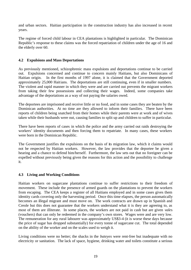and urban sectors. Haitian participation in the construction industry has also increased in recent years.

The regime of forced child labour in CEA plantations is highlighted in particular. The Dominican Republic's response to these claims was the forced repatriation of children under the age of 16 and the elderly over 60.

## **4.2 Expulsions and Mass Deportations**

As previously mentioned, schizophrenic mass expulsions and deportations continue to be carried out. Expulsions concerned and continue to concern mainly Haitians, but also Dominicans of Haitian origin. In the first months of 1997 alone, it is claimed that the Government deported approximately 25,000 Haitians. The deportations are still continuing, even if in smaller numbers. The violent and rapid manner in which they were and are carried out prevents the migrant workers from taking their few possessions and collecting their wages. Indeed, some companies take advantage of the deportations as a way of not paying the salaries owed.

The deportees are imprisoned and receive little or no food, and in some cases they are beaten by the Dominican authorities. At no time are they allowed to inform their families. There have been reports of children being snatched from their homes while their parents were at work and of wives taken while their husbands were out, causing families to split up and children to suffer in particular.

There have been reports of cases in which the police and the army carried out raids destroying the workers' identity documents and then forcing them to repatriate. In many cases, these workers were born in the Dominican Republic.

The Government justifies the expulsions on the basis of its migration law, which it claims would not be respected by Haitian workers. However, the law provides that the deportee be given a hearing and a chance to defend him/herself. Furthermore, the law sets out that no foreigner can be expelled without previously being given the reasons for this action and the possibility to challenge it.

# **4.3 Living and Working Conditions**

Haitian workers on sugarcane plantations continue to suffer restrictions to their freedom of movement. These include the presence of armed guards on the plantations to prevent the workers from escaping. The CEA keeps a register of all Haitians employed and in some cases gives them identity cards covering only the harvesting period. Once this time elapses, the person automatically becomes an illegal migrant and must move on. The work contracts are drawn up in Spanish and Creole but this does not guarantee that the workers understand what it is they are agreeing to, as most of them are illiterate. In some places, the workers are not paid in cash but are given *vale*s (vouchers) that can only be redeemed in the company's own stores. Wages were and are very low. The remuneration for any rural labourer was approximately US\$3-4 (it is worse these days because the price of sugar has dropped substantially) for every tonne of sugarcane cut. The total depended on the ability of the worker and on the scales used to weigh it.

Living conditions were no better; the shacks in the *bateyes* were rent-free but inadequate with no electricity or sanitation. The lack of space, hygiene, drinking water and toilets constitute a serious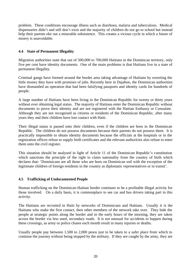problem. These conditions encourage illness such as diarrhoea, malaria and tuberculosis. Medical dispensaries didn't and still don't exist and the majority of children do not go to school but instead help their parents eke out a miserable subsistence. This creates a vicious cycle in which a future of misery is unavoidable.

# **4.4 State of Permanent Illegality**

Migration authorities state that out of 500,000 to 700,000 Haitians in the Dominican territory, only five per cent have identity documents. One of the main problems is that Haitians live in a state of permanent illegality.

Criminal gangs have formed around the border area taking advantage of Haitians by extorting the little money they have with promises of jobs. Recently here in Dajabon, the Dominican authorities have dismantled an operation that had been falsifying passports and identity cards for hundreds of people.

A large number of Haitians have been living in the Dominican Republic for twenty or thirty years without ever obtaining legal status. The majority of Haitians enter the Dominican Republic without documents to prove their identity and are not registered with the Haitian Embassy or Consulate. Although they are not recognised as citizens or residents of the Dominican Republic, after many years they and their children have lost contact with Haiti.

Their illegal status is passed onto their children, even if the children are born in the Dominican Republic. The children do not possess documents because their parents do not possess them. It is practically impossible to obtain identity documents because the officials at the hospitals or in the registration offices refuse to supply birth certificates and the relevant authorities also refuse to enter them onto the civil register.

This situation should be analysed in light of Article 11 of the Dominican Republic's constitution which sanctions the principle of the right to claim nationality from the country of birth which declares that: 'Dominicans are all those who are born on Dominican soil with the exception of the legitimate children of foreign residents in the country as diplomatic representatives or in transit'.

# **4.5 Trafficking of Undocumented People**

Human trafficking on the Dominican-Haitian border continues to be a profitable illegal activity for those involved. On a daily basis, it is commonplace to see car and bus drivers taking part in this activity.

The Haitians are recruited in Haiti by networks of Dominicans and Haitians. Usually it is the Haitians who make the first contact, then other members of the network take over. They hide the people at strategic points along the border and in the early hours of the morning, they are taken across the border via less used, secondary roads. It is not unusual for accidents to happen during these crossings, as army or police chases each month result in many injuries or deaths.

Usually people pay between 1,500 to 2,000 pesos just to be taken to a safer place from which to continue the journey without being stopped by the military. If they are caught by the army, they are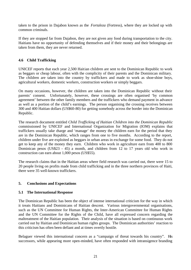taken to the prison in Dajabon known as the *Fortaleza* (Fortress), where they are locked up with common criminals.

If they are stopped far from Dajabon, they are not given any food during transportation to the city. Haitians have no opportunity of defending themselves and if their money and their belongings are taken from them, they are never returned.

# **4.6 Child Trafficking**

UNICEF reports that each year 2,500 Haitian children are sent to the Dominican Republic to work as beggars or cheap labour, often with the complicity of their parents and the Dominican military. The children are taken into the country by traffickers and made to work as shoe-shine boys, agricultural workers, domestic workers, construction workers or simply beggars.

On many occasions, however, the children are taken into the Dominican Republic without their parents' consent. Unfortunately, however, these crossings are often organised 'by common agreement' between the other family members and the traffickers who demand payment in advance as well as a portion of the child's earnings. The person organising the crossing receives between 300 and 400 Haitian dollars (US\$60-80) for getting somebody across the border into the Dominican Republic.

The research document entitled *Child Trafficking of Haitian Children into the Dominican Republic* commissioned by UNICEF and International Organization for Migration (IOM) explains that traffickers usually take charge and 'manage' the money the children earn for the period that they are in the Dominican Republic, which ranges from one to five months. According to the report, children under five are exploited as beggars in urban areas in exchange for some food. They do not get to keep any of the money they earn. Children who work in agriculture earn from 400 to 800 Dominican pesos (US\$23 - 45) a month, and children from 12 to 17 years old who work in construction can earn about 1,000 pesos (US\$55).

The research claims that in the Haitian areas where field research was carried out, there were 15 to 20 people living on profits made from child trafficking and in the three northern provinces of Haiti, there were 35 well-known traffickers.

# **5. Conclusions and Expectations**

# **5.1 The International Response**

The Dominican Republic has been the object of intense international criticism for the way in which it treats Haitians and Dominicans of Haitian descent. Various intergovernmental organisations, such as the UN Committee for Human Rights, the Inter-American Committee for Human Rights and the UN Committee for the Rights of the Child, have all expressed concern regarding the maltreatment of the Haitian population. Their analysis of the situation is based on continuous work carried out by Haitian and Dominican human rights groups. The Dominican authorities' reaction to this criticism has often been defiant and at times overtly hostile.

Belaguer viewed this international concern as a "campaign of threat towards his country". His successors, while appearing more open-minded, have often responded with intransigence branding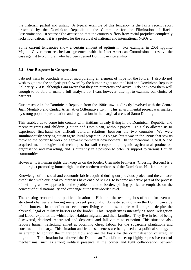the criticism partial and unfair. A typical example of this tendency is the fairly recent report presented by the Dominican Republic to the Committee for the Elimination of Racial Discrimination. It states: 'The accusation that the country suffers from racial prejudice completely lacks foundation… it is a pretext for the survival of national and international NGOs…'

Some current tendencies show a certain amount of optimism. For example, in 2001 Ippolito Majia's Government reached an agreement with the Inter-American Commission to resolve the case against two children who had been denied Dominican citizenship.

# **5.2 Our Response in Co-operation**

I do not wish to conclude without incorporating an element of hope for the future. I also do not wish to get into the analysis put forward by the human rights and the Haiti and Dominican Republic Solidarity NGOs, although I am aware that they are numerous and active. I do not know them well enough to be able to make a full analysis but I can, however, attempt to examine our choice of partners.

Our presence in the Dominican Republic from the 1980s saw us directly involved with the Centro Juan Montalvo and Ciudad Alternativa (Alternative City). This environmental project was marked by strong popular participation and organisation in the marginal areas of Santo Domingo.

This enabled us to come into contact with Haitians already living in the Dominican Republic, and recent migrants and children (Haitian and Dominican) without papers. This also allowed us to experience first-hand the difficult cultural relations between the two countries. We were simultaneously carrying out an agricultural project in Las Vegas, but it was in the 1990s that saw us move to the border to work on agro-environmental development. In the meantime, CAUCA had acquired methodologies and techniques for soil recuperation, organic agricultural production, organisation and marketing, and is currently in a position to offer its support to various Haitian communities.

However, it is human rights that keep us on the border: Cruzando Fronteras (Crossing Borders) is a pilot project promoting human rights in the northern territories of the Dominican-Haitian border.

Knowledge of the social and economic fabric acquired during our previous project and the contacts established with our local counterparts have enabled MLAL to become an active part of the process of defining a new approach to the problems at the border, placing particular emphasis on the concept of dual nationality and exchange at the trans-border level.

The existing economic and political situation in Haiti and the resulting loss of hope for eventual structural changes are forcing many to seek personal or domestic solutions on the Dominican side of the border. In an effort to seek better living conditions, people will emigrate despite the physical, legal or military barriers at the border. This irregularity is intensifying social relegation and labour exploitation, which affect Haitian migrants and their families. They live in fear of being discovered, detained, repatriated and deported, and fall victim to extortion. This situation also favours human trafficking aimed at obtaining cheap labour for the sugarcane plantations and construction industry. This situation and its consequences are being used as a political strategy in an attempt to contain the migration flow and are the basis for the criminalisation of irregular migration. The situation has allowed the Dominican Republic to set up highly repressive control mechanisms, such as strong military presence at the border and tight collaboration between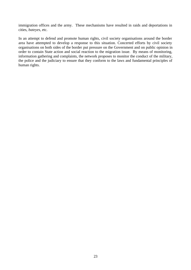immigration offices and the army. These mechanisms have resulted in raids and deportations in cities, *bateyes*, etc.

In an attempt to defend and promote human rights, civil society organisations around the border area have attempted to develop a response to this situation. Concerted efforts by civil society organisations on both sides of the border put pressure on the Government and on public opinion in order to contain State action and social reaction to the migration issue. By means of monitoring, information gathering and complaints, the network proposes to monitor the conduct of the military, the police and the judiciary to ensure that they conform to the laws and fundamental principles of human rights.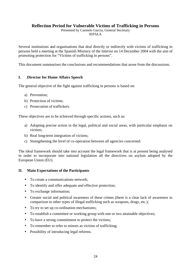# **Reflection Period for Vulnerable Victims of Trafficking in Persons**

Presented by Carmelo Garcia, General Secretary IEPALA

Several institutions and organisations that deal directly or indirectly with victims of trafficking in persons held a meeting at the Spanish Ministry of the Interior on 14 December 2004 with the aim of promoting protection for "Victims of trafficking in persons".

This document summarises the conclusions and recommendations that arose from the discussions.

# **I. Director for Home Affairs Speech**

The general objective of the fight against trafficking in persons is based on:

- a) Prevention;
- b) Protection of victims;
- c) Prosecution of traffickers.

These objectives are to be achieved through specific actions, such as:

- a) Adopting precise action in the legal, political and social areas, with particular emphasis on victims;
- b) Real long-term integration of victims;
- c) Strengthening the level of co-operation between all agencies concerned.

The ideal framework should take into account the legal framework that is at present being analysed in order to incorporate into national legislation all the directives on asylum adopted by the European Union (EU).

# **II. Main Expectations of the Participants**

- To create a communications network:
- To identify and offer adequate and effective protection;
- To exchange information:
- Greater social and political awareness of these crimes (there is a clear lack of awareness in comparison to other types of illegal trafficking such as weapons, drugs, etc.);
- To try to set up co-ordination mechanisms;
- To establish a committee or working group with one or two attainable objectives;
- To have a strong commitment to protect the victims:
- To remember to refer to minors as victims of trafficking;
- Possibility of introducing legal reforms.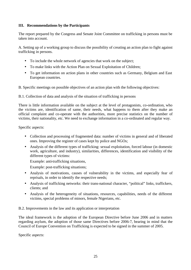# **III. Recommendations by the Participants**

The report prepared by the Congress and Senate Joint Committee on trafficking in persons must be taken into account.

A. Setting up of a working group to discuss the possibility of creating an action plan to fight against trafficking in persons.

- To include the whole network of agencies that work on the subject;
- To make links with the Action Plan on Sexual Exploitation of Children;
- To get information on action plans in other countries such as Germany, Belgium and East European countries.
- B. Specific meetings on possible objectives of an action plan with the following objectives:
- B.1. Collection of data and analysis of the situation of trafficking in persons

There is little information available on the subject at the level of protagonists, co-ordination, who the victims are, identification of same, their needs, what happens to them after they make an official complaint and co-operate with the authorities, more precise statistics on the number of victims, their nationality, etc. We need to exchange information in a co-ordinated and regular way.

Specific aspects:

- Collection and processing of fragmented data: number of victims in general and of liberated ones. Improving the register of cases kept by police and NGOs;
- Analysis of the different types of trafficking: sexual exploitation, forced labour (in domestic work, agriculture, and industry), similarities, differences, identification and visibility of the different types of victims:

Example: anti-trafficking situations,

Example: post-trafficking situations;

- Analysis of motivations, causes of vulnerability in the victims, and especially fear of reprisals, in order to identify the respective needs;
- Analysis of trafficking networks: their trans-national character, "political" links, traffickers, clients; and
- Analysis of the heterogeneity of situations, resources, capabilities, needs of the different victims, special problems of minors, female Nigerians, etc.

B.2. Improvements in the law and its application or interpretation

The ideal framework is the adoption of the European Directive before June 2006 and in matters regarding asylum, the adoption of those same Directives before 2006-7, bearing in mind that the Council of Europe Convention on Trafficking is expected to be signed in the summer of 2005.

Specific aspects: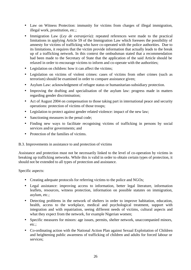- Law on Witness Protection: immunity for victims from charges of illegal immigration, illegal work, prostitution, etc.;
- Immigration Law (*Ley de extranjería*): repeated references were made to the practical limitations in applying Article 59 of the Immigration Law which foresees the possibility of amnesty for victims of trafficking who have co-operated with the police authorities. Due to its limitations, it requires that the victim provide information that actually leads to the break up of a trafficking network. In this context the ombudsman stated that a recommendation had been made to the Secretary of State that the application of the said Article should be relaxed in order to encourage victims to inform and co-operate with the authorities;
- Legislation on children: how it can affect the victims;
- Legislation on victims of violent crimes: cases of victims from other crimes (such as terrorism) should be examined in order to compare assistance given;
- Asylum Law: acknowledgment of refugee status or humanitarian-subsidiary protection.
- Improving the drafting and specialisation of the asylum law: progress made in matters regarding gender discrimination;
- Act of August 2004 on compensation to those taking part in international peace and security operations: protection of victims of those troops;
- Legislation to protect against gender related violence: impact of the new law;
- Sanctioning measures in the penal code:
- Finding new ways to facilitate recognising victims of trafficking in persons by social services and/or governments; and
- Protection of the families of victims.

# B.3. Improvements in assistance to and protection of victims

Assistance and protection must not be necessarily linked to the level of co-operation by victims in breaking up trafficking networks. While this is valid in order to obtain certain types of protection, it should not be extended to all types of protection and assistance.

Specific aspects:

- Creating adequate protocols for referring victims to the police and NGOs;
- Legal assistance: improving access to information, better legal literature, information leaflets, resources, witness protection, information on possible statutes on immigration, asylum, etc.;
- Detecting problems in the network of shelters in order to improve habitation, education, health, access to the workplace, medical and psychological treatment, support with integration and with repatriation, seeing different needs of victims, cultural aspects and what they expect from the network, for example Nigerian women;
- Specific measures for minors: age issues, permits, shelter network, unaccompanied minors, etc.;
- Co-ordinating action with the National Action Plan against Sexual Exploitation of Children and heightening public awareness of trafficking of children and adults for forced labour or services;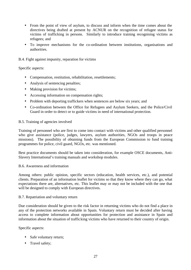- From the point of view of asylum, to discuss and inform when the time comes about the directives being drafted at present by ACNUR on the recognition of refugee status for victims of trafficking in persons. Similarly to introduce training recognising victims as refugees; and
- To improve mechanisms for the co-ordination between institutions, organisations and authorities.
- B.4. Fight against impunity, reparation for victims

#### Specific aspects:

- Compensation, restitution, rehabilitation, resettlements;
- Analysis of sentencing penalties;
- Making provision for victims;
- Accessing information on compensation rights;
- Problem with deporting traffickers when sentences are below six years; and
- Co-ordination between the Office for Refugees and Asylum Seekers, and the Police/Civil Guard in order to detect or to guide victims in need of international protection.

#### B.5. Training of agencies involved

Training of personnel who are first to come into contact with victims and other qualified personnel who give assistance (police, judges, lawyers, asylum authorities, NGOs and troops in peace missions). The possibility of obtaining funds from the European Commission to fund training programmes for police, civil guard, NGOs, etc. was mentioned.

Best practice documents should be taken into consideration, for example OSCE documents, Anti-Slavery International's training manuals and workshop modules.

#### B.6. Awareness and information

Among others: public opinion, specific sectors (education, health services, etc.), and potential clients. Preparation of an information leaflet for victims so that they know where they can go, what expectations there are, alternatives, etc. This leaflet may or may not be included with the one that will be designed to comply with European directives.

#### B.7. Repatriation and voluntary return

Due consideration should be given to the risk factor in returning victims who do not find a place in any of the protection networks available in Spain. Voluntary return must be decided after having access to complete information about opportunities for protection and assistance in Spain and information about the situation of trafficking victims who have returned to their country of origin.

Specific aspects:

- Safe voluntary return;
- Travel safety;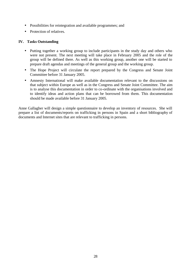- Possibilities for reintegration and available programmes; and
- Protection of relatives.

## **IV. Tasks Outstanding**

- Putting together a working group to include participants in the study day and others who were not present. The next meeting will take place in February 2005 and the role of the group will be defined there. As well as this working group, another one will be started to prepare draft agendas and meetings of the general group and the working group.
- The Hope Project will circulate the report prepared by the Congress and Senate Joint Committee before 31 January 2005.
- Amnesty International will make available documentation relevant to the discussions on that subject within Europe as well as in the Congress and Senate Joint Committee. The aim is to analyse this documentation in order to co-ordinate with the organisations involved and to identify ideas and action plans that can be borrowed from them. This documentation should be made available before 31 January 2005.

Anne Gallagher will design a simple questionnaire to develop an inventory of resources. She will prepare a list of documents/reports on trafficking in persons in Spain and a short bibliography of documents and Internet sites that are relevant to trafficking in persons.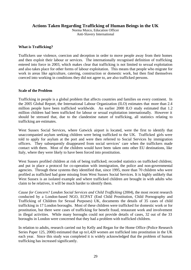# **Actions Taken Regarding Trafficking of Human Beings in the UK**

Norma Muico, Education Officer Anti-Slavery International

#### **What is Trafficking?**

Traffickers use violence, coercion and deception in order to move people away from their homes and then exploit their labour or services. The internationally recognised definition of trafficking entered into force in 2003, which makes clear that trafficking is not limited to sexual exploitation and also takes place for other forms of labour exploitation. This means that people who migrate for work in areas like agriculture, catering, construction or domestic work, but then find themselves coerced into working in conditions they did not agree to, are also trafficked persons.

#### **Scale of the Problem**

Trafficking in people is a global problem that affects countries and families on every continent. In the 2005 Global Report, the International Labour Organization (ILO) estimates that more than 2.4 million people have been trafficked worldwide. An earlier 2000 ILO study estimated that 1.2 million children had been trafficked for labour or sexual exploitation internationally. However it should be stressed that, due to the clandestine nature of trafficking, all statistics relating to trafficking are estimates.

West Sussex Social Services, where Gatwick airport is located, were the first to identify that unaccompanied asylum seeking children were being trafficked to the UK. Trafficked girls were told to apply for asylum at the port and were then referred to Social Services by immigration officers. They subsequently disappeared from social services' care when the traffickers made contact with them. Most of the children would have been taken onto other EU destinations, like Italy, where they were likely to have been forced into prostitution.

West Sussex profiled children at risk of being trafficked; recorded statistics on trafficked children; and put in place a protocol for co-operation with immigration, the police and non-governmental agencies. Through these systems they identified that, since 1995, more than 70 children who were profiled as trafficked had gone missing from West Sussex Social Services. It is highly unlikely that West Sussex is an isolated example and where trafficked children are brought in with adults who claim to be relatives, it will be much harder to identify them.

*Cause for Concern? London Social Services and Child Trafficking (2004)*, the most recent research conducted by a London-based NGO, ECPAT (End Child Prostitution, Child Pornography and Trafficking of Children for Sexual Purposes) UK, documents the details of 35 cases of child trafficking in 17 London boroughs. Most of these children were trafficked for domestic work or for prostitution, but there were cases of trafficking for benefit fraud, restaurant work and involvement in illegal activities. While many boroughs could not provide details of cases, 32 out of the 33 boroughs in London were concerned that they had a problem with trafficked children.

In relation to adults, research carried out by Kelly and Regan for the Home Office (Police Research Series Paper 125, 2000) estimated that up to1,420 women are trafficked into prostitution in the UK each year. Since this study was completed it is widely acknowledged that the problem of human trafficking has increased significantly.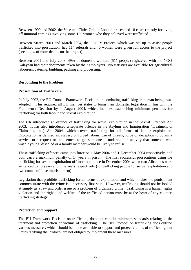Between 1999 and 2002, the Vice and Clubs Unit in London prosecuted 18 cases (mostly for living off immoral earning) involving some 125 women who they believed were trafficked.

Between March 2003 and March 2004, the POPPY Project, which was set up to assist people trafficked into prostitution, had 114 referrals and 46 women were given full access to the project (see below of more details on the project).

Between 2001 and July 2003, 49% of domestic workers (511 people) registered with the NGO Kalayaan had their documents taken by their employers. No statistics are available for agricultural labourers, catering, building, packing and processing.

#### **Responding to the Problem**

#### **Prosecution of Traffickers**

In July 2002, the EU Council Framework Decision on combating trafficking in human beings was adopted. This required all EU member states to bring their domestic legislation in line with the Framework Decision by 1 August 2004, which includes establishing minimum penalties for trafficking for both labour and sexual exploitation.

The UK introduced an offence of trafficking for sexual exploitation in the Sexual Offences Act 2003. It has also introduced a separate offence in the Asylum and Immigration (Treatment of Claimants, etc.) Act 2004, which covers trafficking for all forms of labour exploitation. Exploitation is defined as: slavery or forced labour; use of threats, force or deception to obtain a service; or a request or inducement to get someone to undertake an activity that someone who wasn't young, disabled or a family member would be likely to refuse.

These trafficking offences came into force on 1 May 2004 and 1 December 2004 respectively, and both carry a maximum penalty of 14 years in prison. The first successful prosecutions using the trafficking for sexual exploitation offence took place in December 2004 when two Albanians were sentenced to 18 years and nine years respectively (for trafficking people for sexual exploitation and two counts of false imprisonment).

Legislation that prohibits trafficking for all forms of exploitation and which makes the punishment commensurate with the crime is a necessary first step. However, trafficking should not be looked at simply as a law and order issue or a problem of organised crime. Trafficking is a human rights violation and the rights and welfare of the trafficked person must be at the heart of any countertrafficking strategy.

#### **Protection and Support**

The EU Framework Decision on trafficking does not contain minimum standards relating to the treatment and protection of victims of trafficking. The UN Protocol on trafficking does outline various measures, which should be made available to support and protect victims of trafficking, but States ratifying the Protocol are not obliged to implement these measures.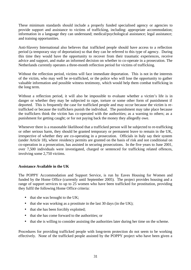These minimum standards should include a properly funded specialised agency or agencies to provide support and assistance to victims of trafficking, including: appropriate accommodation; information in a language they can understand; medical/psychological assistance; legal assistance; and training opportunities.

Anti-Slavery International also believes that trafficked people should have access to a reflection period (a temporary stay of deportation) so that they can be referred to this type of agency. During this time they would have the opportunity to recover from their traumatic experiences, receive advice and support, and make an informed decision on whether to co-operate in a prosecution. The Netherlands currently operates a three-month reflection period for victims of trafficking.

Without the reflection period, victims will face immediate deportation. This is not in the interests of the victim, who may well be re-trafficked, or the police who will lose the opportunity to gather valuable information and possible witness testimony, which would help them combat trafficking in the long term.

Without a reflection period, it will also be impossible to evaluate whether a victim's life is in danger or whether they may be subjected to rape, torture or some other form of punishment if deported. This is frequently the case for trafficked people and may occur because the victim is retrafficked or because the traffickers punish the individual. The punishment may take place because the traffickers think the victim has co-operated with the authorities; as a warning to others; as a punishment for getting caught; or for not paying back the money they allegedly owe.

Whenever there is a reasonable likelihood that a trafficked person will be subjected to re-trafficking or other serious harm, they should be granted temporary or permanent leave to remain in the UK, irrespective of whether they are co-operating in a prosecution. Officials in Italy say their system (under Article 18), where residency permits are granted on the basis of risk and not conditional on co-operation in a prosecution, has assisted in securing prosecutions. In the five years to June 2001, over 7,500 individuals were investigated, charged or sentenced for trafficking related offences, involving some 2,750 victims.

# **Assistance Available in the UK**

The POPPY Accommodation and Support Service, is run by Eaves Housing for Women and funded by the Home Office (currently until September 2005). The project provides housing and a range of support services to up to 25 women who have been trafficked for prostitution, providing they fulfil the following Home Office criteria:

- that she was brought to the UK;
- that she was working as a prostitute in the last 30 days (in the UK);
- that she has been forcibly exploited;
- that she has come forward to the authorities; or
- that she is willing to consider assisting the authorities later during her time on the scheme.

Procedures for providing trafficked people with long-term protection do not seem to be working effectively. None of the trafficked people assisted by the POPPY project who have been given a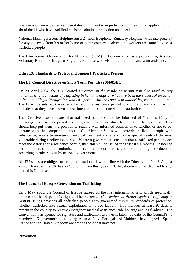final decision were granted refugee status or humanitarian protection on their initial application, but six of the 11 who have had final decisions obtained protection on appeal.

National Missing Persons Helpline run a 24-hour freephone, Runaway Helpline (with interpreters), for anyone away from his or her home or home country. Advice line workers are trained to assist trafficked people.

The International Organization for Migration (IOM) in London also has a programme, Assisted Voluntary Return for Irregular Migrants, for those who wish to return home and want assistance.

# **Other EU Standards to Protect and Support Trafficked Persons**

# **The EU Council Directive on Short Term Permits (2004/81/EC)**

On 29 April 2004, the *EU Council Directive on the residence permit issued to third-country nationals who are victims of trafficking in human beings or who have been the subject of an action to facilitate illegal immigration who co-operate with the competent authorities*, entered into force. The Directive sets out the criteria for issuing a residence permit to victims of trafficking, which includes that they have shown a clear intention to co-operate with the authorities.

The Directive also stipulates that trafficked people should be informed of "the possibility of obtaining this residence permit and be given a period in which to reflect on their position. This should help put them in a position to reach a well-informed decision as to whether or not to cooperate with the competent authorities". Member States will provide trafficked people with subsistence, access to emergency medical treatment and attend to the special needs of the most vulnerable during a reflection period. Where a government considers that a trafficked person does meet the criteria for a residence permit, then this will be issued for at least six months. Residence permit holders should be authorised to access the labour market, vocational training and education according to rules set out by national governments.

All EU states are obliged to bring their national law into line with the Directive before 6 August 2006. However, the UK has an "opt out" from this type of EU legislation and has declined to sign up to this Directive.

#### **The Council of Europe Convention on Trafficking**

On 3 May 2005, the Council of Europe agreed on the first international law, which specifically protects trafficked people's rights. The *European Convention on Action Against Trafficking in Human Beings* provides all trafficked people with guaranteed minimum standards of protection, whether trafficked into sexual exploitation or forced labour. This includes at least 30 days to remain in the country to receive emergency medical assistance, safe housing and legal advice. The Convention was opened for signature and ratification two weeks later. To date, of the Council's 46 members, 15 governments, including Austria, Italy, Portugal and Moldova, have signed. Spain, France and the United Kingdom are among those that have not.

# **Prevention**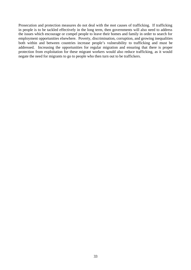Prosecution and protection measures do not deal with the root causes of trafficking. If trafficking in people is to be tackled effectively in the long term, then governments will also need to address the issues which encourage or compel people to leave their homes and family in order to search for employment opportunities elsewhere. Poverty, discrimination, corruption, and growing inequalities both within and between countries increase people's vulnerability to trafficking and must be addressed. Increasing the opportunities for regular migration and ensuring that there is proper protection from exploitation for these migrant workers would also reduce trafficking, as it would negate the need for migrants to go to people who then turn out to be traffickers.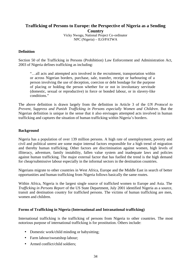# **Trafficking of Persons to Europe: the Perspective of Nigeria as a Sending**

**Country** Vicky Nwogu, National Project Co-ordinator NPC (Nigeria) – ILO/PATWA

## **Definition**

Section 50 of the Trafficking in Persons (Prohibition) Law Enforcement and Administration Act, 2003 of Nigeria defines trafficking as including:

"…all acts and attempted acts involved in the recruitment, transportation within or across Nigerian borders, purchase, sale, transfer, receipt or harbouring of a person involving the use of deception, coercion or debt bondage for the purpose of placing or holding the person whether for or not in involuntary servitude (domestic, sexual or reproductive) in force or bonded labour, or in slavery-like conditions."

The above definition is drawn largely from the definition in Article 3 of the *UN Protocol to Prevent, Suppress and Punish Trafficking in Persons especially Women and Children*. But the Nigerian definition is unique in the sense that it also envisages attempted acts involved in human trafficking and captures the situation of human trafficking within Nigeria's borders.

# **Background**

Nigeria has a population of over 139 million persons. A high rate of unemployment, poverty and civil and political unrest are some major internal factors responsible for a high trend of migration and thereby human trafficking. Other factors are discrimination against women, high levels of illiteracy, adventure, family instability, fallen value system and inadequate laws and policies against human trafficking. The major external factor that has fuelled the trend is the high demand for cheap/submissive labour especially in the informal sectors in the destination countries.

Nigerians migrate to other countries in West Africa, Europe and the Middle East in search of better opportunities and human trafficking from Nigeria follows basically the same routes.

Within Africa, Nigeria is the largest single source of trafficked women to Europe and Asia. The *Trafficking in Persons Report* of the US State Department, July 2001 identified Nigeria as a source, transit and destination country for trafficked persons. The victims of human trafficking are men, women and children.

# **Forms of Trafficking in Nigeria (International and Intranational trafficking)**

International trafficking is the trafficking of persons from Nigeria to other countries. The most notorious purpose of international trafficking is for prostitution. Others include:

- Domestic work/child minding or babysitting;
- Farm labour/sweatshop labour;
- Armed conflict/child soldiers: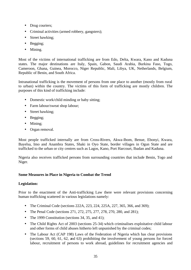- Drug couriers;
- Criminal activities (armed robbery, gangsters);
- Street hawking:
- Begging;
- Mining.

Most of the victims of international trafficking are from Edo, Delta, Kwara, Kano and Kaduna states. The major destinations are Italy, Spain, Gabon, Saudi Arabia, Burkina Faso, Togo, Cameroon, Ghana, Guinea, Morocco, Niger Republic, Mali, Libya, UK, Netherlands, Belgium, Republic of Benin, and South Africa.

Intranational trafficking is the movement of persons from one place to another (mostly from rural to urban) within the country. The victims of this form of trafficking are mostly children. The purposes of this kind of trafficking include:

- Domestic work/child minding or baby sitting;
- Farm labour/sweat shop labour;
- Street hawking;
- Begging;
- Mining;
- Organ removal.

Most people trafficked internally are from Cross-Rivers, Akwa-Ibom, Benue, Ebonyi, Kwara, Bayelsa, Imo and Anambra States, Shaki in Oyo State, border villages in Ogun State and are trafficked to the urban or city centres such as Lagos, Kano, Port Harcourt, Ibadan and Kaduna.

Nigeria also receives trafficked persons from surrounding countries that include Benin, Togo and Niger.

# **Some Measures in Place in Nigeria to Combat the Trend**

# **Legislation:**

Prior to the enactment of the Anti-trafficking Law there were relevant provisions concerning human trafficking scattered in various legislations namely:

- The Criminal Code (sections 222A, 223, 224, 225A, 227, 365, 366, and 369);
- The Penal Code (sections 271, 272, 275, 277, 278, 270, 280, and 281);
- The 1999 Constitution (sections 34, 35, and 41);
- The Child Rights Act of 2003 (sections 25-34) which criminalises exploitative child labour and other forms of child abuses hitherto left unpunished by the criminal codes;
- The Labour Act (CAP 198) Laws of the Federation of Nigeria which has clear provisions (sections 59, 60, 61, 62, and 63) prohibiting the involvement of young persons for forced labour, recruitment of persons to work abroad, guidelines for recruitment agencies and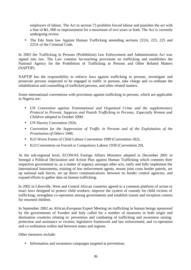employers of labour. The Act in section 73 prohibits forced labour and punishes the act with a fine of  $\mathbb{H}1$ , 000 or imprisonment for a maximum of two years or both. The Act is currently undergoing review.

• The Edo State law Against Human Trafficking amending sections 222A, 223, 225 and 225A of the Criminal Code.

In 2003 the Trafficking in Persons (Prohibition) Law Enforcement and Administration Act was signed into law. The Law contains far-reaching provisions on trafficking and establishes the National Agency for the Prohibition of Trafficking in Persons and Other Related Matters (NAPTIP).

NAPTIP has the responsibility to enforce laws against trafficking in persons, investigate and prosecute persons suspected to be engaged in traffic in persons, take charge and co-ordinate the rehabilitation and counselling of trafficked persons, and other related matters.

Some international conventions with provisions against trafficking in persons, which are applicable in Nigeria are:

- *UN Convention against Transnational and Organized Crime and the supplementary Protocol to Prevent, Suppress and Punish Trafficking in Persons, Especially Women and Children* adopted in October 2000;
- UN Slavery Convention 1926;
- *Convention for the Suppression of Traffic in Persons and of the Exploitation of the Prostitution of Others* 1949;
- ILO Worst Forms of Child Labour Convention 1999 (Convention 182);
- ILO Convention on Forced or Compulsory Labour 1930 (Convention 29).

At the sub-regional level, ECOWAS Foreign Affairs Ministers adopted in December 2001 in Senegal a Political Declaration and Action Plan against Human Trafficking which commits their respective government to, as a matter of urgency amongst other acts, ratify and fully implement the International Instruments, training of law enforcement agents, mount joint cross border patrols, set up national task forces, set up direct communications between its border control agencies, and expand efforts to gather data on human trafficking.

In 2002 in Libreville, West and Central African countries agreed to a common platform of action to enact laws designed to protect child workers; improve the system of custody for child victims of trafficking; strengthen co-operation among governments and establish transit and reception centres for returned children.

In September 2002 an African-European Expert Meeting on trafficking in human beings sponsored by the governments of Sweden and Italy called for a number of measures in both origin and destination countries relating to: prevention and combating of trafficking and awareness raising; protection and assistance to victims; legislative framework and law enforcement; and co-operation and co-ordination within and between states and regions.

Other measures include:

• Information and awareness campaigns targeted at prevention;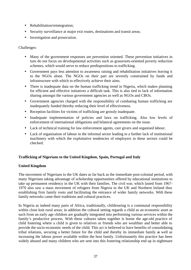- Rehabilitation/reintegration;
- Security surveillance at major exit routes, destinations and transit areas;
- Investigation and prosecution.

# Challenges:

- Many of the government responses are prevention oriented. These prevention initiatives in turn do not focus on developmental activities such as grassroots-oriented poverty reduction schemes, which would serve to reduce predispositions to trafficking.
- Government pays less attention to awareness raising and rehabilitation initiatives leaving it to the NGOs alone. The NGOs on their part are severely constrained by funds and infrastructure with which to effectively achieve their aims.
- There is inadequate data on the human trafficking trend in Nigeria, which makes planning for efficient and effective initiatives a difficult task. This is also tied to lack of information sharing amongst the various government agencies as well as NGOs and CBOs.
- Government agencies charged with the responsibility of combating human trafficking are inadequately funded thereby reducing their level of effectiveness.
- Reception facilities for victims of trafficking are grossly inadequate.
- Inadequate implementation of policies and laws on trafficking. Also low levels of enforcement of international obligations and bilateral agreements on the issue.
- Lack of technical training for law enforcement agents, care givers and organised labour.
- Lack of organisation of labour in the informal sector leading to a further lack of institutional machinery with which the exploitative tendencies of employers in these sectors could be checked.

# **Trafficking of Nigerians to the United Kingdom, Spain, Portugal and Italy**

# **United Kingdom**

The movement of Nigerians to the UK dates as far back as the immediate post-colonial period, with many Nigerians taking advantage of scholarship opportunities offered by educational institutions to take up permanent residency in the UK with their families. The civil war, which lasted from 1967- 1970 also saw a mass movement of refugees from Nigeria to the UK and Northern Ireland thus establishing firm family roots and facilitating the entrance of wider family networks. With these family networks came their traditions and cultural practices.

In Nigeria as indeed many parts of Africa, traditionally, childrearing is a communal responsibility within close knit rural areas; in addition the cultural setting regards a child as an economic asset as such from an early age children are gradually integrated into performing various services within the family's productive process. With these cultures taken together is borne the age-old practice of child fostering where a child is given to relatives or friends who are wealthier and better able to provide the socio-economic needs of the child. This act is believed to have benefits of consolidating tribal relations, securing a better future for the child and thereby its immediate family as well as increasing the labour power available within the host family. Unfortunately this practice has been widely abused and many children who are sent into this fostering relationship end up in nightmare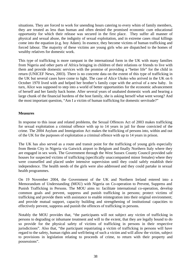situations. They are forced to work for unending hours catering to every whim of family members, they are treated as less than human and often denied the promised economic cum educational opportunity for which their release was secured in the first place. They suffer all manner of physical and sexual abuse, the indignity of sexual exploitation, and in extreme cases ritual killings come into the equation (e.g. boy Adam). In essence, they become victims of human trafficking and forced labour. The majority of these victims are young girls who are dispatched to the homes of wealthy relatives for domestic work.

This type of trafficking is more rampant in the international form in the UK with many families from Nigeria and other parts of Africa bringing in children of their relations or friends to live with them and provide domestic services with the promise of providing a "better life" for the child in return (UNICEF News, 2003). There is no concrete data on the extent of this type of trafficking in the UK but several cases have come to light. The case of Alice Ukoko who arrived in the UK on 6 October 1970 lived with and helped her brother's family cope with the arrival of a new baby. In turn, Alice was supposed to step into a world of better opportunities for the economic advancement of herself and her family back home. After several years of unabated domestic work and bearing a large chunk of the financial burdens of the host family, she is asking herself what went wrong? And the most important question, "Am I a victim of human trafficking for domestic servitude?"

# **Measures**

In response to this issue and related problems, the Sexual Offences Act of 2003 makes trafficking for sexual exploitation a criminal offence with up to 14 years in jail for those convicted of the crime. The 2004 Asylum and Immigration Act makes the trafficking of persons into, within and out of the UK for the purposes of exploitation a criminal offence with up to 14 years in prison.

The UK has also served as a route and transit point for the trafficking of young girls especially from Benin City in Nigeria via Gatwick airport to Belgium and finally Northern Italy where they are engaged in sex work. The Government through the West Sussex County Council provided safe houses for suspected victims of trafficking (specifically unaccompanied minor females) where they were counselled and placed under intensive supervision until they could safely establish their independence. The health needs of the girls were also addressed and they could partake in sexual health programmes.

On 19 November 2004, the Government of the UK and Northern Ireland entered into a Memorandum of Understanding (MOU) with Nigeria on Co-operation to Prevent, Suppress and Punish Trafficking in Persons. The MOU aims to: facilitate international co-operation, develop common goals and prevent, suppress and punish trafficking in persons; protect victims of trafficking and provide them with assistance to enable reintegration into their original environment; and provide mutual support, capacity building and strengthening of institutional capacities to effectively prevent, suppress and punish the offences of trafficking in persons.

Notably the MOU provides that, "the participants will not subject any victim of trafficking in persons to degrading or inhumane treatment and will to the extent, that they are legally bound to do so provide for the physical safety of victims of trafficking in persons in their respective jurisdictions". Also that, "the participant repatriating a victim of trafficking in persons will have regard to the safety, human rights and well-being of such a victim and will allow the victim, subject to provisions in legislation relating to proceeds of crime, to return with their property and possessions".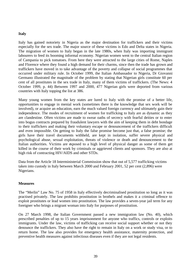#### **Italy**

Italy has gained notoriety in Nigeria as the major destination for traffickers and their victims especially for the sex trade. The major source of these victims is Edo and Delta states in Nigeria. The migration of women to Italy began in the late 1980s, when Italy was importing immigrant labourers to feed its booming informal economy. Nigerian women went to the central Italian region of Campania to pick tomatoes. From here they were attracted to the large cities of Rome, Naples and Florence where they found a high demand for their charms, since then the trade has grown and traffickers have moved in to take advantage of the poverty and collapse of social programmes that occurred under military rule. In October 1999, the Italian Ambassador to Nigeria, Dr Giovanni Germano illustrated the magnitude of the problem by stating that Nigerian girls constitute 60 per cent of all prostitutes in the sex trade in Italy, many of them victims of traffickers. (The News: 4 October 1999, p. 44) Between 1997 and 2000, 477 Nigerian girls were deported from various countries with Italy topping the list at 386.

Many young women from the key states are lured to Italy with the promise of a better life, opportunities to engage in menial work (sometimes there is the knowledge that sex work will be involved), or acquire an education, earn the much valued foreign currency and ultimately gain their independence. The modes of recruitment of women for trafficking to Italy are as dynamic as they are clandestine. Often victims are made to swear oaths of secrecy with fearful deities or to enter into bogus contracts prepared by fraudulent lawyers with the aim of keeping them in debt bondage to their traffickers and making their voluntary escape or denouncement of the traffickers difficult and even impossible. On getting to Italy the false promise become just that, a false promise; the girls have their travel documents withheld, are kept in isolation, suffer severe physical and psychological abuse, sexual exploitation, threats of violence or death and denouncement to the Italian authorities. Victims are exposed to a high level of physical danger as some of them get killed in the course of their work by criminals or aggrieved clients and sponsors. They are also at high risk of contracting HIV/AIDS and other STDs.

Data from the Article 18 Interministerial Commission show that out of 5,577 trafficking victims taken into custody in Italy between March 2000 and February 2001, 52 per cent (2,896) were Nigerians.

#### **Measures**

The "Merlin" Law No. 75 of 1958 in Italy effectively decriminalised prostitution so long as it was practised privately. The law prohibits prostitution in brothels and makes it a criminal offence to exploit prostitutes or lead women into prostitution. The law provides a seven-year jail term for any foreigner who brings a migrant woman into Italy for purposes of prostitution.

On 27 March 1998, the Italian Government passed a new immigration law (No. 40), which prescribed penalties of up to 15 years imprisonment for anyone who traffics, controls or exploits immigrants. Under the law, victims of trafficking can receive social support whether or not they denounce the traffickers. They also have the right to remain in Italy on a work or study visa, or to return home. The law also provides for emergency health assistance, maternity protection, and preventive health measures against infectious diseases even if they are not legal residents.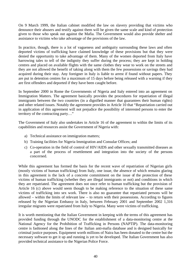On 9 March 1999, the Italian cabinet modified the law on slavery providing that victims who denounce their abusers and testify against them will be given the same scale and kind of protection given to those who speak out against the Mafia. The Government would also provide shelter and assistance to victims who take advantage of the provisions of the law.

In practice, though, there is a lot of vagueness and ambiguity surrounding these laws and often deported victims of trafficking have claimed knowledge of these provisions but that they were denied the opportunity to take advantage of them. Many of the women deported from Italy have harrowing tales to tell of the indignity they suffer during the process; they are kept in holding centres and placed on available flights with the same clothes they wear to work on the streets and they are not allowed the benefit of taking along with them the few possessions or savings they had acquired during their stay. Any foreigner in Italy is liable to arrest if found without papers. They are put in detention centres for a maximum of 15 days before being released with a warning if they are first offenders and deported if they have been caught before.

In September 2000 in Rome the Governments of Nigeria and Italy entered into an agreement on Immigration Matters. The agreement basically provides the procedures for repatriation of illegal immigrants between the two countries (in a dignified manner that guarantees their human rights) and other related issues. Notably the agreement provides in Article 10 that "Repatriation carried out in application of this agreement will not prejudice the possibility of interested persons to enter the territory of the contracting party…"

The Government of Italy also undertakes in Article 16 of the agreement to within the limits of its capabilities and resources assist the Government of Nigeria with:

- a) Technical assistance on immigration matters;
- b) Training facilities for Nigeria Immigration and Consular Offices; and
- c) Co-operation in the field of control of HIV/AIDS and other sexually transmitted diseases as a part of the process of resettlement and integration into the society of the persons concerned.

While this agreement has formed the basis for the recent wave of repatriation of Nigerian girls (mostly victims of human trafficking) from Italy, one issue, the absence of which remains glaring in this agreement is the lack of a concrete commitment on the issue of the protection of these victims of human trafficking (whether they are illegal immigrants or not) and conditions in which they are repatriated. The agreement does not once refer to human trafficking but the provision of Article 16 (c) above would seem though to be making reference to the situation of these same victims of trafficking into sex work. There is also no guarantee that repatriated persons will be allowed – within the limits of relevant law – to return with their possessions. According to figures released by the Nigerian Embassy in Italy, between February 2001 and September 2002 1,316 irregular migrants were repatriated from Italy to Nigeria. Many were victims of trafficking.

It is worth mentioning that the Italian Government in keeping with the terms of this agreement has provided funding through the UNODC for the establishment of a data-monitoring centre at the National Agency for the Prohibition of Trafficking in Persons (NAPTIP). The data-monitoring centre is fashioned along the lines of the Italian anti-mafia database and is designed basically for criminal justice purposes. Equipment worth millions of Naira has been donated to the centre but the necessary software to get it up and running is yet to be developed. The Italian Government has also provided technical assistance to the Nigerian Police Force.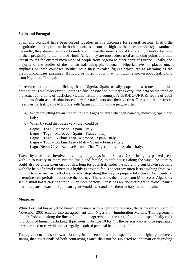#### **Spain and Portugal**

Spain and Portugal have been placed together in this discourse for several reasons: firstly, the magnitude of the problem in both countries is not as high as the ones previously examined. Secondly, they share a common boundary and have the same types of trafficking. Thirdly, because of their proximity to the horn of North Africa they are most often used as landing points and then transit routes for onward movement of people from Nigeria to other parts of Europe. Finally, the majority of the studies of the human trafficking phenomena in Nigeria have not placed much emphasis on both countries, neither have they revealed figures which are as alarming as the previous countries examined. It should be noted though that not much is known about trafficking from Nigeria to Portugal.

In research on human trafficking from Nigeria, Spain usually pops up as routes to a final destination. To a lesser extent, Spain is a final destination but there is very little data on the trend or the actual conditions of trafficked victims within the country. A UNODC/UNICRI report of 2003 highlights Spain as a destination country for traffickers and their victims. The same report traces the routes for trafficking to Europe with Spain coming into the picture often:

- a) When travelling by air, the routes are Lagos to any Schengen country, including Spain and Italy;
- b) When by road the routes vary, they could be:

| $Lagos - Togo - Morocco - Spain - Italy$                               |
|------------------------------------------------------------------------|
| Lagos – Togo – Morocco – Spain – France - Italy                        |
| Lagos – Togo – Burkina Faso - Morocco – Spain - Italy                  |
| Lagos – Togo – Burkina Faso - Mali – Spain – France - Italy            |
| Lagos/Benin City – Katsina/Borno – Chad/Niger – Libya – Spain – Italy. |

Travel by road often involves travelling many days in the Sahara Desert in tightly packed jeeps with up to twenty or more victims (male and female) to safe houses along the way. The journey could also be undertaken on foot in a long tortuous trek under the scorching sun broken spatially with the help of camel runners at a highly exorbitant fee. The journey often lasts anything from two months to one year as traffickers have to stop along the way to prepare fake travel documents or determine safe periods to continue the journey. The victims then cross from Morocco or Algeria by sea in small boats carrying up to 20 or more persons. Crossings are done at night to avoid Spanish maritime patrol boats. In Spain, an agent would meet and take them to Italy by air or train.

#### **Measures**

While Portugal has as yet no known agreement with Nigeria on the issue, the Kingdom of Spain in November 2001 entered into an agreement with Nigeria on Immigration Matters. This agreement though fashioned along the lines of the Italian agreement is the first of its kind to specifically refer to victims of human trafficking. It provides in Article 10 for "… the person who is to be repatriated or readmitted to carry his or her legally acquired personal belongings…"

The agreement is also forward looking in the sense that it has specific human rights guarantees, stating that, "Nationals of both contracting States shall not be subjected to inhuman or degrading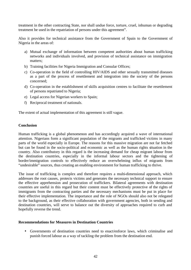treatment in the other contracting State, nor shall undue force, torture, cruel, inhuman or degrading treatment be used in the repatriation of persons under this agreement".

Also it provides for technical assistance from the Government of Spain to the Government of Nigeria in the areas of:

- a) Mutual exchange of information between competent authorities about human trafficking networks and individuals involved, and provision of technical assistance on immigration matters;
- b) Training facilities for Nigeria Immigration and Consular Offices;
- c) Co-operation in the field of controlling HIV/AIDS and other sexually transmitted diseases as a part of the process of resettlement and integration into the society of the persons concerned;
- d) Co-operation in the establishment of skills acquisition centres to facilitate the resettlement of persons repatriated to Nigeria;
- e) Legal access for Nigerian workers to Spain;
- f) Reciprocal treatment of nationals.

The extent of actual implementation of this agreement is still vague.

#### **Conclusion**

Human trafficking is a global phenomenon and has accordingly acquired a wave of international attention. Nigerians form a significant population of the migrants and trafficked victims in many parts of the world especially in Europe. The reasons for this massive migration are not far fetched but can be found in the socio-political and economic as well as the human rights situation in the country. Also contributory in this regard is the increasing demand for cheap migrant labour from the destination countries, especially in the informal labour sectors and the tightening of border/immigration controls to effectively reduce an overwhelming influx of migrants from "undesirable" sources, thus creating an enabling environment for human trafficking to thrive.

The issue of trafficking is complex and therefore requires a multi-dimensional approach, which addresses the root causes, protects victims and generates the necessary technical support to ensure the effective apprehension and prosecution of traffickers. Bilateral agreements with destination countries are useful in this regard but their content must be effectively protective of the rights of immigrants from the contracting parties and the necessary mechanisms must be put in place for their effective implementation. The importance and the role of NGOs should also not be relegated to the background, as their effective collaboration with government agencies, both in sending and destination countries, will serve to balance out the diversity of approaches required to curb and hopefully reverse the trend.

#### **Recommendations for Measures in Destination Countries**

• Governments of destination countries need to enact/enforce laws, which criminalise and punish forced labour as a way of tackling the problem from the destination end.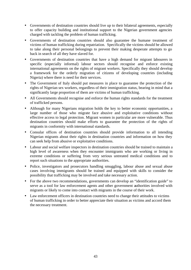- Governments of destination countries should live up to their bilateral agreements, especially to offer capacity building and institutional support to the Nigerian government agencies charged with tackling the problem of human trafficking.
- Governments of destination countries should also guarantee the humane treatment of victims of human trafficking during repatriation. Specifically the victims should be allowed to take along their personal belongings to prevent their making desperate attempts to go back in search of all they have slaved for.
- Governments of destination countries that have a high demand for migrant labourers in specific (especially informal) labour sectors should recognise and enforce existing international agreements on the rights of migrant workers. Specifically they should develop a framework for the orderly migration of citizens of developing countries (including Nigeria) where there is need for their services.
- The Government of Italy should put measures in place to guarantee the protection of the rights of Nigerian sex workers, regardless of their immigration status, bearing in mind that a significantly large proportion of them are victims of human trafficking.
- All Governments should recognise and enforce the human rights standards for the treatment of trafficked persons.
- Although for many Nigerians migration holds the key to better economic opportunities, a large number of those who migrate face abusive and exploitative conditions without effective access to legal protection. Migrant women in particular are more vulnerable. Thus destination countries should make efforts to guarantee the protection of the rights of migrants in conformity with international standards.
- Consular offices of destination countries should provide information to all intending Nigerian migrants about their rights in destination countries and information on how they can seek help from abusive or exploitative conditions.
- Labour and social welfare inspectors in destination countries should be trained to maintain a high level of awareness when they encounter immigrants who are working or living in extreme conditions or suffering from very serious untreated medical conditions and to report such situations to the appropriate authorities.
- Police, investigators and prosecutors handling smuggling, labour abuse and sexual abuse cases involving immigrants should be trained and equipped with skills to consider the possibility that trafficking may be involved and take necessary action.
- For the above two recommendations, governments can develop an "identification guide" to serve as a tool for law enforcement agents and other government authorities involved with migrants or likely to come into contact with migrants in the course of their work.
- Law enforcement officers in destination countries need to change their attitudes to victims of human trafficking in order to better appreciate their situation as victims and accord them the necessary treatment.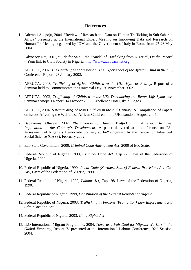## **References**

- 1. Aderanti Adepoju, 2004, "Review of Research and Data on Human Trafficking in Sub Saharan Africa" presented at the International Expert Meeting on Improving Data and Research on Human Trafficking organized by IOM and the Government of Italy in Rome from 27-28 May 2004.
- 2. Advocacy Net, 2001, "Girls for Sale the Scandal of Trafficking from Nigeria", *On the Record –* Your link to Civil Society in Nigeria, http://www.advocacynet.org
- 3. AFRUCA, 2002, *The Challenges of Migration: The Experiences of the African Child in the UK*, Conference Report, 23 January 2002.
- 4. AFRUCA, 2003, *Trafficking of African Children to the UK: Myth or Reality*, Report of a Seminar held to Commemorate the Universal Day, 20 November 2002.
- 5. AFRUCA, 2003*, Trafficking of Children to the UK: Denouncing the Better Life Syndrome*, Seminar Synopsis Report, 14 October 2003, Excellence Hotel, Ikeja, Lagos.
- 6. AFRUCA, 2004, *Safeguarding African Children in the 21st Century*, A Compilation of Papers on Issues Affecting the Welfare of African Children in the UK, London, August 2004.
- 7. Babayemisi Oluseyi, 2002, *Phenomenon of Human Trafficking in Nigeria: The Cost Implication to the Country's Development*, A paper delivered at a conference on "An Assessment of Nigeria's Democratic Journey so far" organised by the Centre for Advanced Social Science (CASS), February 2002.
- 8. Edo State Government, 2000, *Criminal Code Amendment Act*, 2000 of Edo State.
- 9. Federal Republic of Nigeria, 1990, *Criminal Code Act*, Cap 77, Laws of the Federation of Nigeria, 1990.
- 10. Federal Republic of Nigeria, 1990, *Penal Code (Northern States) Federal Provisions Act*, Cap 345, Laws of the Federation of Nigeria, 1990.
- 11. Federal Republic of Nigeria, 1990, *Labour Act*, Cap 198, Laws of the Federation of Nigeria, 1990.
- 12. Federal Republic of Nigeria, 1999, *Constitution of the Federal Republic of Nigeria*.
- 13. Federal Republic of Nigeria, 2003, *Trafficking in Persons (Prohibition) Law Enforcement and Administration Act*.
- 14. Federal Republic of Nigeria, 2003, *Child Rights Act*.
- 15. ILO International Migrant Programme, 2004, *Towards a Fair Deal for Migrant Workers in the Global Economy*, Report IV presented at the International Labour Conference, 92<sup>nd</sup> Session, 2004.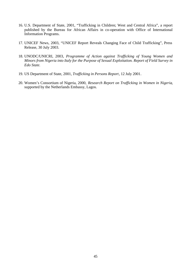- 16. U.S. Department of State, 2001, "Trafficking in Children; West and Central Africa", a report published by the Bureau for African Affairs in co-operation with Office of International Information Programs.
- 17. UNICEF News, 2003, "UNICEF Report Reveals Changing Face of Child Trafficking", Press Release, 30 July 2003.
- 18. UNODC/UNICRI, 2003, *Programme of Action against Trafficking of Young Women and Minors from Nigeria into Italy for the Purpose of Sexual Exploitation. Report of Field Survey in Edo State*.
- 19. US Department of State, 2001, *Trafficking in Persons Report*, 12 July 2001.
- 20. Women's Consortium of Nigeria, 2000, *Research Report on Trafficking in Women in Nigeria*, supported by the Netherlands Embassy, Lagos.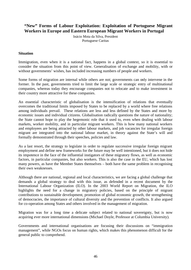# **"New" Forms of Labour Exploitation: Exploitation of Portuguese Migrant Workers in Europe and Eastern European Migrant Workers in Portugal**

Inácio Mota da Silva, President Portuguese Caritas

#### **Situation**

Immigration, even when it is a national fact, happens in a global context, so it is essential to consider the situation from this point of view. Generalisation of exchange and mobility, with or without governments' wishes, has included increasing numbers of people and workers.

Some forms of migration are internal while others are not; governments can only intervene in the former. In the past, governments tried to limit the large scale or strategic entry of multinational companies, whereas today they encourage companies not to relocate and to make investment in their country more attractive for these companies.

An essential characteristic of globalisation is the intensification of relations that eventually overcomes the traditional limits imposed by States to be replaced by a world where free relations among individuals prevail. These relations are less and less defined by the States and more by economic issues and individual citizens. Globalisation radically questions the nature of nationality; the State cannot hope to play the hegemonic role that it used to, even when dealing with labour markets, worker mobility, and in particular migrant workers. This is how many national workers and employees are being attracted by other labour markets, and job vacancies for irregular foreign migrant are integrated into the national labour market, in theory against the State's will and formally demonstrated through their speeches, policies and law.

As a last resort, the strategy to legislate in order to regulate successive irregular foreign migrant employment and define new frameworks for the future may be well intentioned, but it does not hide its impotence in the face of the influential instigators of these migratory flows, as well as economic factors, in particular companies, but also workers. This is also the case in the EU, which has lost many powers, as have the Member States themselves – both have the same problem in recognising their own weaknesses.

Although there are national, regional and local characteristics, we are facing a global challenge that demands a global strategy to deal with this issue, as defended in a recent document by the International Labour Organization (ILO). In the 2003 World Report on Migration, the ILO highlights the need for a change in migratory policies, based on the principle of migrant contributions to sustainable development, promotion of global economic growth, the strengthening of democracies, the importance of cultural diversity and the prevention of conflicts. It also argued for co-operation among States and others involved in the management of migration.

Migration was for a long time a delicate subject related to national sovereignty, but is now acquiring ever more international dimensions (Michael Doyle, Professor at Columbia University).

Governments and international organisations are focusing their discussions on "immigration management", while NGOs focus on human rights, which makes this phenomenon difficult for the general public to comprehend.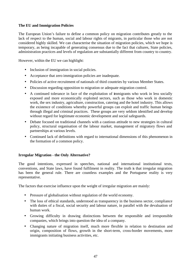# **The EU and Immigration Policies**

The European Union's failure to define a common policy on migration contributes greatly to the lack of respect to the human, social and labour rights of migrants, in particular those who are not considered highly skilled. We can characterise the situation of migration policies, which we hope is temporary, as being incapable of generating consensus due to the fact that cultures, State policies, administration practices and levels of regulation are substantially different from country to country.

However, within the EU we can highlight:

- Inclusion of immigration in social policies.
- Acceptance that zero immigration policies are inadequate.
- Policies of active recruitment of nationals of third countries by various Member States.
- Discussion regarding opposition to migration or adequate migration control.
- A continued tolerance in face of the exploitation of immigrants who work in less socially exposed and more economically exploited sectors, such as those who work in domestic work, the sex industry, agriculture, construction, catering and the hotel industry. This allows the existence of conditions whereby powerful groups can exploit and traffic human beings through illegal and criminal practices. These groups are very seldom identified and develop without regard for legitimate economic development and social safeguards.
- Debate focused on traditional channels with a cautious attitude to new strategies in cultural policy, structural organisation of the labour market, management of migratory flows and partnerships at various levels.
- Continued lack of definitions with regard to international dimensions of this phenomenon in the formation of a common policy.

# **Irregular Migration - the Only Alternative?**

The good intentions, expressed in speeches, national and international institutional texts, conventions, and State laws, have found fulfilment in reality. The truth is that irregular migration has been the general rule. There are countless examples and the Portuguese reality is very representative.

The factors that exercise influence upon the weight of irregular migration are mainly:

- Pressure of globalisation without regulation of the world economy.
- The loss of ethical standards, understood as transparency in the business sector, compliance with duties of a fiscal, social security and labour nature, in parallel with the devaluation of human work.
- Growing difficulty in drawing distinctions between the responsible and irresponsible companies, which brings into question the idea of a company.
- Changing nature of migration itself, much more flexible in relation to destination and origin, composition of flows, growth in the short-term, cross-border movements, more immigrants initiating business activities, etc.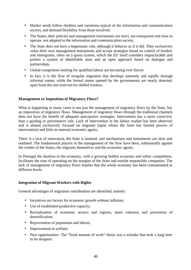- Market needs follow rhythms and variations typical of the information and communication sectors, and demand flexibility from those involved.
- The States, their policies and management instruments are strict, not transparent and slow to operate, not adapted to the information and communication society.
- The State does not have a hegemonic role, although it behaves as if it did. They exclusively value their own management instruments and accept strategies based on control of borders and immigrants, often on a quota system, which the EU itself considers impracticable and prefers a system of identifiable aims and an open approach based on dialogue and partnerships.
- Global competitors looking for qualified labour are becoming ever fiercer.
- In fact, it is the flow of irregular migration that develops intensely and rapidly through informal routes, while the formal routes opened by the governments are nearly deserted, apart from the one reserved for skilled workers.

# **Management or Imposition of Migratory Flows?**

What is happening in many cases is not just the management of migratory flows by the State, but an imposition of migratory flows. Management of migratory flows through the traditional channels does not have the benefit of adequate anticipative strategies. Intervention has a more corrective than a guiding or preventative role. Lack of intervention in the labour market has been observed and is almost exclusively focused on migrants (upon whom the State has limited powers of intervention) and little on internal economic agents.

There is a lack of innovation, the State is isolated, and mechanisms and instruments are slow and outdated. The fundamental players in the management of the flow have been, substantially against the wishes of the States, the migrants themselves and the economic agents.

In Portugal the dualism in the economy, with a growing hidden economy and unfair competition, facilitates the ease of operating on the margins of the State and outside responsible companies. The lack of management of migratory flows implies that the whole economy has been contaminated at different levels.

# **Integration of Migrant Workers with Rights**

General advantages of migration contributions are identified, namely:

- Incentives are factors for economic growth without inflation;
- Use of established productive capacity;
- Revitalisation of economic sectors and regions, more cohesion and prevention of desertification;
- Rejuvenation of population and labour;
- Improvement in welfare;
- New opportunities. The "fixed amount of work" thesis was a mistake that took a long time to be dropped.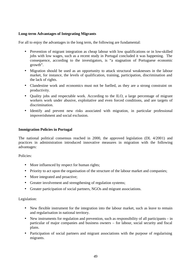# **Long-term Advantages of Integrating Migrants**

For all to enjoy the advantages in the long term, the following are fundamental:

- Prevention of migrant integration as cheap labour with low qualifications or in low-skilled jobs with low wages, such as a recent study in Portugal concluded it was happening. The consequence, according to the investigators, is "a stagnation of Portuguese economic growth".
- Migration should be used as an opportunity to attack structural weaknesses in the labour market, for instance, the levels of qualification, training, participation, discrimination and the lack of rights.
- Clandestine work and economics must not be fuelled, as they are a strong constraint on productivity.
- Quality jobs and respectable work. According to the ILO, a large percentage of migrant workers work under abusive, exploitative and even forced conditions, and are targets of discrimination.
- Identify and prevent new risks associated with migration, in particular professional impoverishment and social exclusion.

#### **Immigration Policies in Portugal**

The national political consensus reached in 2000, the approved legislation (DL 4/2001) and practices in administration introduced innovative measures in migration with the following advantages:

Policies:

- More influenced by respect for human rights;
- Priority to act upon the organisation of the structure of the labour market and companies;
- More integrated and proactive;
- Greater involvement and strengthening of regulation systems;
- Greater participation of social partners, NGOs and migrant associations.

#### Legislation:

- New flexible instrument for the integration into the labour market, such as leave to remain and regularisation in national territory.
- New instruments for regulation and prevention, such as responsibility of all participants in particular of major companies and business owners – for labour, social security and fiscal plans.
- Participation of social partners and migrant associations with the purpose of regularising migrants.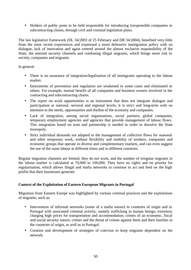• Holders of public posts to be held responsible for introducing irresponsible companies in subcontracting chains, through civil and criminal legislation plans.

The last legislative framework (DL 34/2003 of 25 February and DR 34/2004), benefited very little from the most recent experiences and expressed a more defensive immigration policy with no dialogue, lack of innovation and again centred around the almost exclusive responsibility of the State, the internal security channels and combating illegal migrants, which brings more risk to society, companies and migrants.

In general:

- There is no assurance of integration/legalisation of all immigrants operating in the labour market.
- Instruments of prevention and regulation are weakened in some cases and eliminated in others. For example, mutual benefit of all companies and business owners involved in the contracting and subcontracting chains.
- The report on work opportunities is an instrument that does not integrate dialogue and participation at national, sectoral and regional levels; it is strict and long-term with no attention to the needs, opportunities and rhythm of the economy and companies.
- Lack of integration, among social organisations, social partners, global companies, temporary employment agencies and agencies that provide management of labour flows. This integration based on trust and partnership is needed in order to dissolve the State monopoly.
- Strict individual demands not adapted to the management of collective flows for seasonal and other temporary work, without flexibility and mobility of workers, companies and economic groups that operate in diverse and complementary markets, and can even suggest the use of the same labour at different times and in different countries.

Regular migration channels are limited, they do not work, and the number of irregular migrants in the labour market is calculated at 70,000 to 100,000. They have no rights and no priority for regularisation, which allows illegal and mafia networks to continue to act and feed on the high profits that their businesses generate.

# **Context of the Exploitation of Eastern European Migrants in Portugal**

Migration from Eastern Europe was highlighted by various criminal practices and the exploitation of migrants, such as:

- Intervention of informal networks (some of a mafia nature) in countries of origin and in Portugal with associated criminal activity, namely trafficking in human beings; extortion; charging high prices for transportation and accommodation; crimes of an economic, fiscal and social security nature; crimes and the threat of crimes against them and their families in the countries of origin, as well as in Portugal.
- Creation and development of strategies of coercion to keep migrants dependent on the network.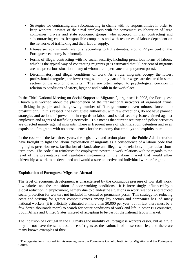- Strategies for contracting and subcontracting in chains with no responsibilities in order to keep workers unaware of their real employers with the convenient collaboration of large companies, private and state economic groups, who accepted in their contracting and subcontracting chains, irresponsible companies and with resources of labour dependent on the networks of trafficking and their labour supply.
- Intense secrecy in work relations (according to EU estimates, around 22 per cent of the Portuguese economy is informal).
- Forms of illegal contracting with no social security, including precarious forms of labour, which is the typical way of contracting migrants (it is estimated that 90 per cent of migrants are in a precarious situation, many of whom are in permanent employment posts).
- Discriminatory and illegal conditions of work. As a rule, migrants occupy the lowest professional categories, the lowest wages, and only part of their wages are declared in some sectors of the economic activity. They are often subject to psychological coercion in relation to conditions of safety, hygiene and health in the workplace.

In the Third National Meeting on Social Support to Migrants<sup>11</sup>, organised in 2003, the Portuguese Church was worried about the phenomenon of the transnational networks of organised crime, trafficking in people and the growing number of "foreign women, even minors, forced into prostitution". In this respect, the Portuguese authorities, with few exceptions, do not have planned strategies and actions of prevention in regards to labour and social security issues, aimed against employers and agents of trafficking networks. This means that current security and police activities are directed mainly against migrants. There is frequent news of identification, detention and even expulsion of migrants with no consequences for the economy that employs and exploits them.

In the course of the last three years, the legislative and action plans of the Public Administration have brought to light the labour exploitation of migrants as a consequence of a labour code that highlights precariousness, facilitation of clandestine and illegal work relations, in particular shortterm ones. The code also reinforces the employers' powers in work relations with no regards to the level of the preventative and regulatory instruments in the labour market that would allow citizenship at work to be developed and would assure collective and individual workers' rights.

# **Exploitation of Portuguese Migrants Abroad**

 $\overline{a}$ 

The level of economic development is characterised by the continuous pressure of low skill work, low salaries and the imposition of poor working conditions. It is increasingly influenced by a global reduction in employment, namely due to clandestine situations in work relations and reduced social protection for workers not included in central or permanent posts. This strategy for reducing costs and striving for greater competitiveness among key sectors and companies has led many national workers (it is officially estimated at more than 30,000 per year, but in fact there must be a few dozen thousands more) to search for better conditions of work and life in other EU countries, South Africa and United States, instead of accepting to be part of the national labour market.

The inclusion of Portugal in the EU makes the mobility of Portuguese workers easier, but as a rule they do not have the same assurance of rights as the nationals of those countries, and there are many known examples of this:

 $1$  The organisations involved in this meeting were the Portuguese Catholic Institute for Migration and the Portuguese Caritas.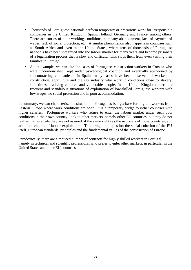- Thousands of Portuguese nationals perform temporary or precarious work for irresponsible companies in the United Kingdom, Spain, Holland, Germany and France, among others. There are stories of poor working conditions, company abandonment, lack of payment of wages, lack of social protection, etc. A similar phenomenon also happens in countries such as South Africa and even in the United States, where tens of thousands of Portuguese nationals have been integrated into the labour market for many years and become prisoners of a legalisation process that is slow and difficult. This stops them from even visiting their families in Portugal.
- As an example, we can cite the cases of Portuguese construction workers in Corsica who were undernourished, kept under psychological coercion and eventually abandoned by subcontracting companies. In Spain, many cases have been observed of workers in construction, agriculture and the sex industry who work in conditions close to slavery, sometimes involving children and vulnerable people. In the United Kingdom, there are frequent and scandalous situations of exploitation of low-skilled Portuguese workers with low wages, no social protection and in poor accommodation.

In summary, we can characterise the situation in Portugal as being a base for migrant workers from Eastern Europe where work conditions are poor. It is a temporary bridge to richer countries with higher salaries. Portuguese workers who refuse to enter the labour market under such poor conditions in their own country, look to other markets, namely other EU countries, but they do not realise that as a rule they are not assured of the same rights as the nationals of those countries, and are often victims of labour exploitation. This brings into question the social cohesion of the EU itself, European standards, principles and the fundamental values of the construction of Europe.

Paradoxically, there are a reduced number of contracts for highly skilled workers in Portugal, namely in technical and scientific professions, who prefer to enter other markets, in particular in the United States and other EU countries.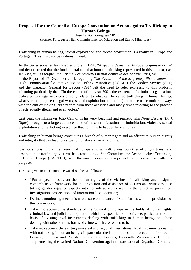# **Proposal for the Council of Europe Convention on Action against Trafficking in Human Beings**

José Leitão, Portuguese MP (Former Portuguese High Commissioner for Migration and Ethnic Minorities)

Trafficking in human beings, sexual exploitation and forced prostitution is a reality in Europe and Portugal. This must not be underestimated.

As the Swiss socialist Jean Ziegler wrote in 1998: "*A spectre devastates Europe: organised crime*" and demonstrated that the fundamental role that human trafficking represented in this context, (see Jen Ziegler, *Les seigneurs du crime. Les nouvelles mafias contre la démocratie*, Paris, Seuil, 1998). In the Report of 17 December 2001, regarding *The Evolution of the Migratory Phenomenon*, the High Commissariat for Immigration and Ethnic Minorities (ACIME), the Borders Service (SEF) and the Inspector General for Labour (IGT) felt the need to refer expressly to this problem, affirming particularly that: "In the course of the year 2001, the existence of criminal organisations dedicated to illegal activities directly related to what can be called trafficking in human beings, whatever the purpose (illegal work, sexual exploitation and others), continue to be noticed always with the aim of making large profits from these activities and many times resorting to the practice of acts equally illegal and even violent".

Last year, the filmmaker João Canijo, in his very beautiful and realistic film *Noite Escura* (*Dark Night*), brought to a large audience some of these manifestations of intimidation, violence, sexual exploitation and trafficking in women that continue to happen here among us.

Trafficking in human beings constitutes a breach of human rights and an affront to human dignity and integrity that can lead to a situation of slavery for its victims.

It is not surprising that the Council of Europe among its 46 States, countries of origin, transit and destination of trafficking victims, has created an *ad hoc* Committee for Action against Trafficking in Human Beings (CAHTEH), with the aim of developing a project for a Convention with this purpose.

The task given to the Committee was described as follows:

- "Put a special focus on the human rights of the victims of trafficking and design a comprehensive framework for the protection and assistance of victims and witnesses, also taking gender equality aspects into consideration, as well as the effective prevention, investigation, prosecution and international co-operation;
- Define a monitoring mechanism to ensure compliance of State Parties with the provisions of the Convention;
- Take into account the standards of the Council of Europe in the fields of human rights, criminal law and judicial co-operation which are specific to this offence, particularly on the basis of existing legal instruments dealing with trafficking in human beings and those dealing with other serious forms of crime which are related to it;
- Take into account the existing universal and regional international legal instruments dealing with trafficking in human beings; in particular the Committee should accept the Protocol to Prevent, Suppress and Punish Trafficking in Persons, Especially Women and Children, supplementing the United Nations Convention against Transnational Organised Crime as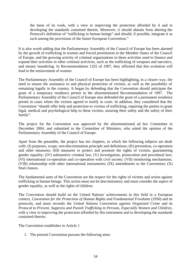the basis of its work, with a view to improving the protection afforded by it and to developing the standards contained therein. Moreover, it should abstain from altering the Protocol's definition of "trafficking in human beings" and should, if possible, integrate it as such among the provisions of the future European Convention."

It is also worth adding that the Parliamentary Assembly of the Council of Europe has been alarmed by the growth of trafficking in women and forced prostitution in the Member States of the Council of Europe, and the growing activity of criminal organisations in these activities used to finance and expand their activities in other criminal activities, such as the trafficking of weapons and narcotics, and money laundering. In Recommendation 1325 of 1997, they affirmed that this evolution will lead to the enslavement of women.

The Parliamentary Assembly of the Council of Europe has been highlighting, in a clearer way, the need to ensure the assistance to and physical protection of victims, as well as the possibility of remaining legally in the country. It began by defending that the Convention should anticipate the grant of a temporary residence permit in the aforementioned Recommendation of 1997. The Parliamentary Assembly of the Council of Europe also defended the grant of a permanent residence permit in cases where the victims agreed to testify in court. In addition, they considered that the Convention "should offer help and protection to victims of trafficking, requiring the parties to grant legal, medical and psychological help to these victims, assuring their safety and the safety of their family".

The project for the Convention was approved by the aforementioned ad hoc Committee in December 2004, and submitted to the Committee of Ministers, who asked the opinion of the Parliamentary Assembly of the Council of Europe.

Apart from the preamble, the project has ten chapters, in which the following subjects are dealt with: (I) purposes, scope, non-discrimination principle and definitions; (II) prevention, co-operation and other measures; (III) measures to protect and promote the rights of victims, guaranteeing gender equality; (IV) substantive criminal law; (V) investigation, prosecution and procedural law; (VI) international co-operation and co-operation with civil society; (VII) monitoring mechanisms; (VIII) relationship with other international instruments; (IX) amendments to the Convention; (X) final clauses.

The fundamental aims of the Convention are the respect for the rights of victims and action against trafficking in human beings. This action must not be discriminatory and must consider the aspect of gender equality, as well as the rights of children.

The Convention should build on the United Nations' achievements in this field in a European context, *Convention for the Protection of Human Rights and Fundamental Freedoms* (1950) and its protocols, and more recently the *United Nations Convention against Organized Crime* and its *Protocol to Prevent, Suppress and Punish Trafficking in Persons, Especially Women and Children*, with a view to improving the protection afforded by this instrument and to developing the standards contained therein.

The Convention establishes in Article 1

1. The present Convention pursues the following aims: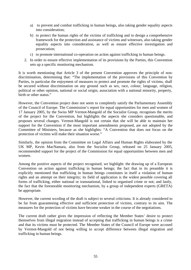- a) to prevent and combat trafficking in human beings, also taking gender equality aspects into consideration;
- b) to protect the human rights of the victims of trafficking and to design a comprehensive framework for the protection and assistance of victims and witnesses, also taking gender equality aspects into consideration, as well as ensure effective investigation and prosecution;
- c) to promote international co-operation on action against trafficking in human beings.
- 2. In order to ensure effective implementation of its provisions by the Parties, this Convention sets up a specific monitoring mechanism.

It is worth mentioning that Article 3 of the present Convention approves the principle of nondiscrimination, determining that: "The implementation of the provisions of this Convention by Parties, in particular the enjoyment of measures to protect and promote the rights of victims, shall be secured without discrimination on any ground such as sex, race, colour, language, religion, political or other opinion, national or social origin, association with a national minority, property, birth or other status."

However, the Convention project does not seem to completely satisfy the Parliamentary Assembly of the Council of Europe. The Commission's report for equal opportunities for men and women of 17 January 2005, by the Swiss MP Vermot-Mangold of the Socialist Group, recognises the merits of the project for the Convention, but highlights the aspects she considers questionable, and proposes several changes. Vermot-Mangold is not certain that she will be able to maintain her support for the Convention if the most important amendments proposed, are not adopted by the Committee of Ministers, because as she highlights: "A Convention that does not focus on the protection of victims will make their situation worse."

Similarly, the opinion from the Committee on Legal Affairs and Human Rights elaborated by the UK MP, Kevin MacNamara, also from the Socialist Group, released on 25 January 2005, recommended support for the project of the Commission for equal opportunities between men and women.

Among the positive aspects of the project recognised, we highlight: the drawing up of a European Convention on action against trafficking in human beings; the fact that in its preamble it is explicitly mentioned that trafficking in human beings constitutes in itself a violation of human rights and an attempt on their integrity; its field of application is the widest possible covering all forms of trafficking, either national or transnational, linked to organised crime or not; and lastly, the fact that the foreseeable monitoring mechanism, by a group of independent experts (GRETA) be appropriate.

However, the current wording of the draft is subject to several criticisms. It is already considered to be far from guaranteeing effective and sufficient protection of victims, contrary to its aim. The measures for the protection of victims have become weaker in the course of the negotiations.

The current draft rather gives the impression of reflecting the Member States' desire to protect themselves from illegal migration instead of accepting that trafficking in human beings is a crime and that its victims must be protected. The Member States of the Council of Europe were accused by Vermot-Mangold of not being willing to accept difference between illegal migration and trafficking in human beings.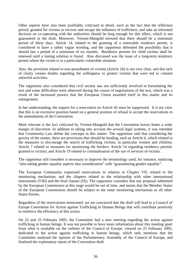Other aspects have also been justifiably criticised in detail, such as the fact that the reflection period, granted for victims to recover and escape the influence of traffickers, and take an informed decision on co-operating with the authorities should be long enough for this effect, which is not guaranteed in the draft. Moreover, Vermot-Mangold stressed that there should be a minimum period of thirty days. Article 14, related to the granting of a renewable residence permit, is considered to have a rather vague wording, and the rapporteur defended the possibility that it should last a period of a minimum of six months. Residence permits for child victims shall be renewed until a lasting solution is found. Also discussed was the issue of a long-term residence permit where the victim is in a particularly vulnerable situation.

Also, the provision related to non-punishment of victims (Article 26) is not very clear, and this lack of clarity creates doubts regarding the willingness to protect victims that were led to commit unlawful activities.

The rapporteur also considered that civil society was not sufficiently involved in formulating the text and some difficulties were observed during the course of negotiations of the text, which was a result of the increased powers that the European Union awarded itself in this matter and its enlargement.

In her understanding, the request for a reservation on Article 45 must be suppressed. It is my view that this is an excessive position based on a general position of refusal to accept the reservations in the amendments of the Convention.

More relevant is the fact criticised by Vermot-Mangold that the Convention leaves States a wide margin of discretion. In addition to taking into account the several legal systems, it was intended that Community Law define the concepts in this matter. The rapporteur said that considering the gravity of the matter, there are provisions that should be binding, such as Article 6, which related to the measures to discourage the search of trafficking victims, in particular women and children; Article 7 related to measures for monitoring the borders; Article 14 regarding residency permits granted to victims; and Article 19 related to criminalisation of the use of services of victims.

The rapporteur still considers it necessary to improve the terminology used, for instance, replacing "also taking gender equality aspects into consideration" with "guaranteeing gender equality".

The European Community expressed reservations in relation to Chapter VII, related to the monitoring mechanism, and the chapters related to the relationship with other international instruments (VIII) and the final clauses (IX). The rapporteur considers that any proposal submitted by the European Commission at this stage would be out of time, and insists that the Member States of the European Commission should be subject to the same monitoring mechanism as all other States Parties.

Regardless of the reservations mentioned, we are convinced that the draft will lead to a Council of Europe Convention for Action against Trafficking in Human Beings that will contribute positively to reinforce the efficiency of this action.

On 22 and 25 February 2005, the Committee had a new meeting regarding the action against trafficking in human beings. It was not possible to have more information about this meeting apart from what is available on the website of the Council of Europe, viewed on 25 February 2005, dedicated to the action against trafficking in human beings, which only mentions that the Committee analysed the opinion of the Parliamentary Assembly of the Council of Europe, and finalised the explanatory report of the Convention draft.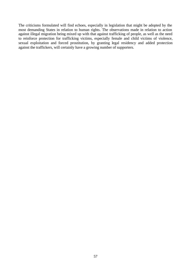The criticisms formulated will find echoes, especially in legislation that might be adopted by the most demanding States in relation to human rights. The observations made in relation to action against illegal migration being mixed up with that against trafficking of people, as well as the need to reinforce protection for trafficking victims, especially female and child victims of violence, sexual exploitation and forced prostitution, by granting legal residency and added protection against the traffickers, will certainly have a growing number of supporters.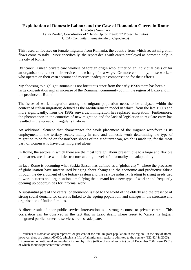# **Exploitation of Domestic Labour and the Case of Romanian Carers in Rome**

Executive Summary Laura Zordan, Co-ordinator of "Hands Up for Freedom" Project Activities CICA (Comunità Internazionale di Capodarco)

This research focuses on female migrants from Romania, the country from which recent migration flows come to Italy. More specifically, the report deals with carers employed as domestic help in the city of Rome.

By 'carer', I mean private care workers of foreign origin who, either on an individual basis or for an organisation, render their services in exchange for a wage. Or more commonly, those workers who operate on their own account and receive inadequate compensation for their efforts.

My choosing to highlight Romania is not fortuitous since from the early 1990s there has been a large concentration and an increase of the Romanian community both in the region of Lazio and in the province of Rome<sup>1</sup>.

The issue of work integration among the migrant population needs to be analysed within the context of Italian migration; defined as the Mediterranean model in which, from the late 1960s and more significantly, from the 1980s onwards, immigration has replaced emigration. Furthermore, the phenomenon in the countries of new migration and the lack of legislation to regulate entry has resulted in the spread of irregular situations.

An additional element that characterises the work placement of the migrant workforce is its employment in the tertiary sector, mainly in care and domestic work determining the type of migration to be found on the northern shores of the Mediterranean, which is made up, for the most part, of women who have often migrated alone.

In Rome, the sectors in which there are the most foreign labour present, due to a large and flexible job market, are those with little structure and high levels of informality and adaptability.

In fact, Rome is becoming what Saskia Sassen has defined as a 'global city'<sup>2</sup>, where the processes of globalisation have materialised bringing about changes in the economic and productive fabric through the development of the tertiary system and the service industry, leading to rising needs tied to work patterns and organisation, amplifying the demand for a new type of worker and frequently opening up opportunities for informal work.

A substantial part of the carers' phenomenon is tied to the world of the elderly and the presence of strong social demand for carers is linked to the ageing population, and changes in the structure and organisation of Italian families.

A direct result of poor public service intervention is a strong recourse to private carers. This correlation can be observed in the fact that in Lazio itself, where resort to 'carers' is higher, integrated public homecare services are less adequate.

 $\overline{a}$ 

<sup>&</sup>lt;sup>1</sup> Residents of Romanian origin represent 21 per cent of the total migrant population in the region. In the city of Rome, however, there are almost 60,000, which is a fifth of all migrants regularly admitted to the country (322,824 in 2003).

 $2$  Romanian domestic workers regularly insured by INPS (office of social security) on 31 December 2002 were 15,019 of which about 80 per cent were women.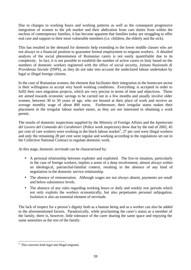Due to changes to working hours and working patterns as well as the consequent progressive integration of women to the job market and their abdication from care duties from within the nucleus of contemporary families, it has become apparent that families today are struggling to offer real care and support to their most vulnerable members (i.e. children, the elderly and the sick).

This has resulted in the demand for domestic help extending to the lower middle classes who are not always in a financial position to guarantee formal employment to migrant workers. A detailed analysis of the social phenomenon of Romanian carers is not easily quantifiable due to its complexity. In fact, it is not possible to establish the number of active carers in Italy based on the numbers of domestic workers registered with the office of social security, *Istituto Nazionale di Providenza Sociale* (INPS), as they do not take into account the undeclared labour undertaken by legal or illegal foreign citizens.

In the case of Romanian women, the element that facilitates their integration in the homecare sector is their willingness to accept very harsh working conditions. Everything is accepted in order to fulfil their own migration projects, which are very precise in terms of time and objectives. These are aimed towards economic savings to be carried out in a few months and usually involve older women, between 30 to 50 years of age, who are housed at their place of work and receive an average monthly wage of about 800 euros. Furthermore, their irregular status makes their placement in the irregular labour market easier, as they are not interested in obtaining a work permit.

The results of domestic inspections supplied by the Ministry of Foreign Affairs and the *Ispettorato del Lavoro del Comando dei Carabinieri* (Police work inspectors) show that by the end of 2002, 45 per cent of care workers were working in the black labour market<sup>3</sup>, 27 per cent were illegal workers and only the remaining 28 per cent were regular and working according to the regulations set out in the Collective National Contract to regulate domestic work.

At this stage, domestic servitude can be characterised by:

- A personal relationship between exploiter and exploited. The live-in situation, particularly in the case of foreign workers, implies a sense of a deep involvement, almost always within an ideological, patriarchal-familial context, resulting in the absence of any kind of negotiation in the domestic service relationship.
- The absence of remuneration. Although wages are not always absent, payments are small and below subsistence levels.
- The absence of any rules regarding working hours or daily and weekly rest periods which not only exploits the workers economically, but also perpetuates personal subjugation. Isolation is also an essential element of servitude.

The lack of respect for a person's dignity both as a human being and as a worker can also be added to the aforementioned factors. Paradoxically, while proclaiming the carer's status as a member of the family, there is, however, little tolerance of the carer sharing the same space and enjoying the same amenities as the rest of the family.

 $\overline{a}$ 

<sup>&</sup>lt;sup>3</sup> This concerns both legal and illegal migrants.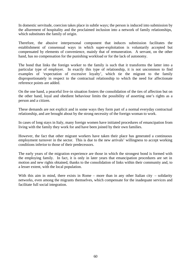In domestic servitude, coercion takes place in subtle ways; the person is induced into submission by the allurement of hospitality and the proclaimed inclusion into a network of family relationships, which substitutes the family of origin.

Therefore, the abusive interpersonal component that induces submission facilitates the establishment of consensual ways in which super-exploitation is voluntarily accepted but compensated by elements of convenience, mainly that of remuneration. A servant, on the other hand, has no compensation for the punishing workload or for the lack of autonomy.

The bond that links the foreign worker to the family is such that it transforms the latter into a particular type of employer. In exactly this type of relationship, it is not uncommon to find examples of 'expectation of excessive loyalty', which tie the migrant to the family disproportionately in respect to the contractual relationship to which the need for affectionate reference points are added.

On the one hand, a peaceful live-in situation fosters the consolidation of the ties of affection but on the other hand, loyal and obedient behaviour limits the possibility of asserting one's rights as a person and a citizen.

These demands are not explicit and in some ways they form part of a normal everyday contractual relationship, and are brought about by the strong necessity of the foreign woman to work.

In cases of long stays in Italy, many foreign women have initiated procedures of emancipation from living with the family they work for and have been joined by their own families.

However, the fact that other migrant workers have taken their place has generated a continuous employment turnover in the sector. This is due to the new arrivals' willingness to accept working conditions inferior to those of their predecessors.

The early years of the migration experience are those in which the strongest bond is formed with the employing family. In fact, it is only in later years that emancipation procedures are set in motion and new rights obtained, thanks to the consolidation of links within their community and, to a lesser extent, with the local population.

With this aim in mind, there exists in Rome – more than in any other Italian city – solidarity networks, even among the migrants themselves, which compensate for the inadequate services and facilitate full social integration.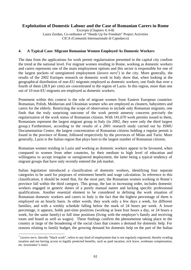# **Exploitation of Domestic Labour and the Case of Romanian Carers in Rome**

Excerpts (Chapters 4, 6-8) Laura Zordan, Co-ordinator of "Hands Up for Freedom" Project Activities CICA (Comunità Internazionale di Capodarco)

#### **4. A Typical Case: Migrant Romanian Women Employed As Domestic Workers**

The data from the applications for work permit regularisation presented in the capital city confirm the trend at the national level. For migrant women residing in Rome, working as domestic workers and carers represents one of the main employment options and this sector is responsible for one of the largest pockets of unregistered employment (*lavoro nero*<sup>1</sup>) in the city. More generally, the results of the 2002 Eurispes research on domestic work in Italy show that, when looking at the geographical distribution of non-EU migrants employed as domestic workers, one finds that over a fourth of them (28.9 per cent) are concentrated in the region of Lazio. In this region, more than one out of 10 non-EU migrants are employed as domestic workers.

Prominent within this context is the role of migrant women from Eastern European countries: Romanian, Polish, Moldavian and Ukrainian women who are employed as cleaners, babysitters and carers for the elderly. Restricting the scope of observation to include only Romanian migrants, one finds that the truly surprising outcome of the work permit amnesty concerns precisely the regularisation of the work status of Romanian citizens. With 141,670 work permits issued to them, Romanians represent the largest migrant group in Italy (in 2002, they were only the third largest group.) Furthermore, according to the results of a 2001 research study carried out by ISMU Documentation Centre, the largest concentration of Romanian citizens holding a regular permit is found in the province of Rome, followed respectively by the provinces of Milan and Turin. More generally, Lazio is the Italian region that plays host to the largest number of Romanian citizens.

Romanian women residing in Lazio and working as domestic workers appear to be favoured, when compared to women from other countries, by their medium to high level of education and willingness to accept irregular or unregistered employment, the latter being a typical tendency of migrant groups that have only recently entered the job market.

Italian legislation introduced a classification of domestic workers, identifying four separate categories to be used for purposes of retirement benefit and wage calculation. In reference to this classification, it should be noted that, for the most part, the Romanian women working in Rome's province fall within the third category. This group, the last in increasing order, includes domestic workers engaged in generic duties of a purely manual nature and lacking specific professional qualifications. Another essential element to be considered in defining the work situation of Romanian domestic workers and carers in Italy is the fact that the highest percentage of them is employed on an hourly basis. In other words, they work only a few days a week, for different families, and with a weekly schedule falling below the mark of 24 hours per week. A lower percentage, it appears, holds part-time positions (working at least four hours a day, or 24 hours a week, for the same family) or full time positions (living with the employer's family and receiving room and board as well as wages). These findings confirm the phenomenon taking place in the country at large of the broadening of the social class that creates a demand for domestic help. For reasons relating to family budget, the growing demand for domestic help on the part of the Italian

 $\overline{a}$ 

<sup>&</sup>lt;sup>1</sup> Lavoro nero, literally "black work", refers to any kind of employment that is not regularly registered, thereby evading taxation and not having access to legally protected benefits, such as paid vacation, sick leave, workman compensation, etc. (*translator's note*)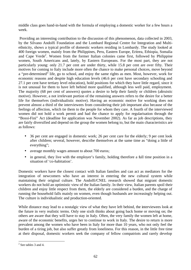middle class goes hand-in-hand with the formula of employing a domestic worker for a few hours a week.

 Providing an interesting contribution to the discussion of this phenomenon, data collected in 2003, by the Silvano Andolfi Foundation and the Lombard Regional Centre for Integration and Multiethnicity, shows a typical profile of domestic workers residing in Lombardy. The study looked at 400 foreign women, mainly from the Philippines, Peru, Eastern Europe, Eritrea, Ethiopia, Somalia and Cape Verde<sup>2</sup>. Women from the former Italian colonies came first, followed by Philippine women, South Americans and, lately, by Eastern Europeans. For the most part, they are not particularly young: only 21.7 per cent are under thirty, while 15.8 per cent are over fifty. Their motives for coming to Italy include more often the chance to make personal choices, move beyond a "pre-determined" life, go to school, and enjoy the same rights as men. Most, however, work for economic reasons and despite high education levels (46.6 per cent have secondary schooling and 27.1 per cent have tertiary level education), hold positions for which they have little regard, since it is not unusual for them to have left behind more qualified, although less well paid, employment. The majority (68 per cent of answers) quotes a desire to help their family or children (altruistic motive). However, a not irrelevant portion of the remaining answers refers to the desire for a better life for themselves (individualistic motive). Having an economic motive for working does not prevent almost a third of the interviewees from considering their job important also because of the feelings of affection, which tie them to the people for whom they care. A fourth of the interviewed women did not hold a work permit and had the chance to apply for regularisation through the "Bossi-Fini" Act (deadline for application was November 2002). As far as job descriptions, they are fairly diversified and depend on the group the women belong to, but the main characteristics are as follows:

- 36 per cent are engaged in domestic work; 26 per cent care for the elderly; 9 per cent look after children; several, however, describe themselves at the same time as "doing a little of everything";
- average monthly wages amount to about 700 euros:
- in general, they live with the employer's family, holding therefore a full time position in a situation of 'co-habitation'.

Domestic workers have the closest contact with Italian families and can act as mediators for the integration of newcomers who have an interest in entering the new cultural system while maintaining their original culture. The Andolfi/CNEL research showed that migrant domestic workers do not hold an optimistic view of the Italian family. In their view, Italian parents spoil their children and enjoy little respect from them, the elderly are considered a burden, and the charge of running the household falls mainly on women, even though husbands are increasingly helping out. The culture is individualistic and production-oriented.

While distance may lead to a nostalgic view of what they have left behind, the interviewees look at the future in very realistic terms. Only one sixth thinks about going back home or moving on; the others are aware that they will have to stay in Italy. Often, the very family the women left at home, aware of the economic benefits, urges her to continue to work in Italy. The desire to return is more prevalent among the women who have been in Italy for more than 10 years, who not only feel the burden of a tiring job, but also suffer greatly from loneliness. For this reason, in the little free time at their disposal, domestic workers seek the company of fellow compatriots and rarely develop

 $2^2$  See tables 3 and 4.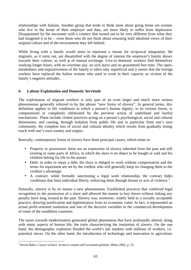relationships with Italians. Another group that tends to think more about going home are women who live in the home of their employer and thus, are more likely to suffer from depression. Disappointed by the encounter with a country that turned out to be very different from what they had imagined it to be – even those who do not think about returning hold idealised views of their original culture and of the environment they left behind.

While living with a family would seem to represent a means for reciprocal integration, the migrants, as it turns out, are dissatisfied with the degree of interest the employer's family shows towards their culture, as well as of mutual exchange. Live-in domestic workers find themselves working longer hours, with no overtime pay, no sick leave and no guaranteed free time. The openmindedness and inquisitiveness of the family is often only superficial and it seems that the foreign workers have replaced the Italian women who used to work in their capacity as victims of the family's negative attitudes.

# **6. Labour Exploitation and Domestic Servitude**

The exploitation of migrant workers is only part of an even larger and much more serious phenomenon generally referred to by the phrase "new forms of slavery". In general terms, this definition applies to life conditions in which a person's human dignity, in its various forms, is compromised or completely obliterated by the perverse action of underhand and hurtful mechanisms. These include violent practices acting on a person's psychological, social and cultural dimensions, and causing, through isolation from public life and in particular from one's own community, the complete loss of social and cultural identity which results from gradually losing touch with one's own country and origins.

Basically, contemporary forms of slavery have three principal causes, which relate to:

- Property or possession: these are an expression of slavery inherited from the past and still existing in some parts of Africa, in which the slave is an object to be bought or sold and his children belong for life to the master.
- Debt: in order to repay a debt, the slave is obliged to work without compensation and the terms for repayment are set by the creditor who will generally keep on changing them to the creditor's advantage.
- A contract: while formally sanctioning a legal work relationship, the contract hides conditions that limit individual liberty, enforcing them through threats or acts of violence.<sup>3</sup>

Naturally, slavery is by no means a new phenomenon. Established practices that conferred legal recognition to the possession of a slave and allowed the master to buy slaves without risking any penalty have long existed in the past. Slavery was, moreover, widely held as a socially acceptable practice, drawing justification and legitimisation from its economic value. In fact, it represented an actual profit-oriented institution and one of the decisive variables in the commercial development of some of the wealthiest countries.

The move towards modernisation generated global phenomena that have profoundly altered, along with many aspects of human life, the traits characterising the institution of slavery. On the one hand, the demographic explosion flooded the world's job markets with millions of workers, i.e. potential slaves. On the other hand, the introduction of technology and innovation in agriculture

 $\overline{a}$ 3 Kevin Bales, *I nuovi schiavi: la merce umana nell'economia globale,* Milan 2002, p. 23.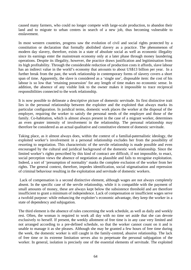caused many farmers, who could no longer compete with large-scale production, to abandon their land and to migrate to urban centres in search of a new job, thus becoming vulnerable to enslavement.

In most western countries, progress saw the evolution of civil and social rights protected by a constitution or declaration that formally abolished slavery as a practice. The phenomenon of modern day slavery, therefore, exists in a state of absolute social as well as economic illegality since its earnings enter the mainstream economy only at a later phase through money laundering operations. Despite its illegality, however, the practice draws justification and legitimisation from its high profitability. Through the considerable reduction of production costs it affords, slave labour has an indirect value in the world's economy that amounts to about US\$13 billion per year. In a further break from the past, the work relationship in contemporary forms of slavery covers a short span of time. Apparently, the slave is considered as a 'single use', disposable item: the cost of his labour is so low that 'retaining possession' for any length of time makes no economic sense. In addition, the absence of any visible link to the owner makes it impossible to trace reciprocal responsibilities connected to the work relationship.

It is now possible to delineate a descriptive picture of domestic servitude. Its first distinctive trait lies in the personal relationship between the exploiter and the exploited that always marks its particular configuration. In juridical terms, domestic work places the worker at the disposal of the employer, requiring the worker to satisfy the personal needs of the employer and those of the family. Co-habitation, which is almost always present in the case of a migrant worker, determines an even greater intensity of involvement in the relationship. The personal relationship may therefore be considered as an actual qualitative and constitutive element of domestic servitude.

Taking place, as it almost always does, within the context of a familial-paternalistic ideology, the exploited worker's involvement in a personal relationship excludes her from the possibility of resorting to negotiation. This characteristic of the servile relationship is made possible and even encouraged by the cultural and juridical background of the domestic work relationship. Since the limited worker's rights prescribed by this kind of contract are difficult, if not impossible, to enact, social perception views the absence of negotiation as plausible and fails to recognise exploitation. Indeed, a sort of 'presumption of normality' masks the complete exclusion of the worker from her rights. The general context, therefore, impedes identification, social stigmatisation and repression of criminal behaviour resulting in the exploitation and servitude of domestic workers.

 Lack of compensation is a second distinctive element, although wages are not always completely absent. In the specific case of the servile relationship, while it is compatible with the payment of small amounts of money, these are always kept below the subsistence threshold and are therefore insufficient to grant a minimum of independence. Lack of compensation or insufficient wages serve a twofold purpose: while enhancing the exploiter's economic advantage, they keep the worker in a state of dependency and subjugation.

The third element is the absence of rules concerning the work schedule, as well as daily and weekly rest. Often, the woman is required to work all day with no time set aside that she can devote exclusively to herself. If present, the weekly allotment of free time is in any case very limited and not arranged according to a pre-defined schedule, so that the worker cannot count on it and is unable to manage it as she pleases. Although she may be granted a few hours of free time during the week, the domestic worker is still caught in the family-centred, abusive relationship. The lack of free time or its extreme limitation serves also to perpetuate the personal subjugation of the worker. In general, isolation is precisely one of the essential elements of servitude. The exploited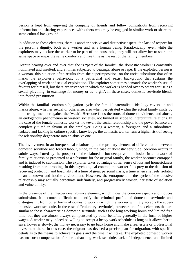person is kept from enjoying the company of friends and fellow compatriots from receiving information and sharing experiences with others who may be engaged in similar work or share the same cultural background.

In addition to these elements, there is another decisive and distinctive aspect: the lack of respect for the person's dignity, both as a worker and as a human being. Paradoxically, even while the exploiters may declare the worker to be part of the household, they will not allow her to share the same space or enjoy the same comforts and free time as the rest of the family members.

Despite hearing over and over that she is "part of the family", the domestic worker is constantly humiliated and insulted, and at times subjected to beatings, abuse or rape. If the exploited person is a woman, this situation often results from the superimposition, on the racist subculture that often marks the exploiter's behaviour, of a patriarchal and sexist background that sustains the overlapping of work and sexual exploitation. The exploiter sometimes demands the worker's sexual favours for himself, but there are instances in which the worker is handed over to others for use as a sexual plaything, in exchange for money or as 'a gift'. In these cases, domestic servitude blends into forced prostitution.

Within the familial centrism-subjugation cycle, the familial-paternalistic ideology covers up and masks abuse, whether sexual or otherwise, also when perpetrated within the actual family circle by the 'strong' member against the 'weak'. Here one finds the roots of domestic violence and abuse, an endogenous phenomenon in western societies, not limited in scope to intercultural relations. In the case of the female domestic worker, however, the social relationship and the power balance are completely tilted in favour of the employer. Being a woman, a foreigner, and a subordinate, isolated and lacking in culture-specific knowledge, the domestic worker runs a higher risk of seeing the relationship degenerate into an abusive one.

The involvement in an interpersonal relationship is the primary element of differentiation between domestic servitude and forced labour, since, in the case of domestic servitude, coercion occurs in subtle ways. Lured by the prospect of the claimed – but deceptive – inclusion in a network of family relationships presented as a substitute for the original family, the worker becomes entrapped and is induced to submission. The exploiter takes advantage of her sense of loss and homesickness resulting from her uprooting. In this psychological context, the worker falls prey to the delusion of receiving protection and hospitality at a time of great personal crisis, a time when she feels isolated in an unknown and hostile environment. However, the entrapment in the cycle of the abusive relationship may actually perpetuate indefinitely, and progressively worsen, her state of isolation and vulnerability.

In the presence of the interpersonal abusive element, which hides the coercive aspects and induces submission, it becomes difficult to identify the criminal profile of domestic servitude and distinguish it from other forms of domestic work in which the worker willingly accepts the superintensive work schedule. In the case of "voluntary servitude", however, one finds elements that are similar to those characterising domestic servitude, such as the long working hours and limited free time, but they are almost always compensated by other benefits, generally in the form of higher wages. A worker may indeed be willing to accept a heavy work schedule as long as it allows her to save, however slowly, the money necessary to go back home and make a real estate or professional investment there. In this case, the migrant has devised a precise plan for migration, with specific details as to the means to achieve its goals and the time it will take. The exploited domestic worker has no such compensation for the exhausting work schedule, lack of independence and limited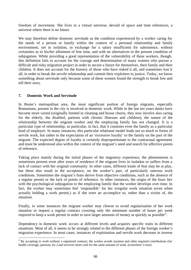freedom of movement. She lives in a virtual universe, devoid of space and time references, a universe where there is no future.

We may therefore define domestic servitude as the condition experienced by a worker caring for the needs of a person or family within the context of a personal relationship and family environment, yet in isolation, in exchange for a salary insufficient for subsistence, without certainties as to his/her allotment of free time, and with no alternatives to the present condition of subjugation. While providing a good representation of the vulnerability of these workers, though, this definition fails to account for the courage and determination of many women who pursue a difficult and risky migration project in order to secure a future for themselves, their family and their children. It does not account for the bravery of those who have risked it all, and sometimes lost it all, in order to break the servile relationship and commit their exploiters to justice. Today, we know something about servitude only because some of these women found the strength to break free and tell their story.

# **7. Domestic Work and Servitude**

 $\overline{a}$ 

In Rome's metropolitan area, the most significant portion of foreign migrants, especially Romanians, present in the city is involved in domestic work. While in the last ten years duties have become more varied (originally limited to cleaning and house chores, they now involve also caring for the elderly, the disabled, patients with chronic illnesses and children), the nature of the relationship between the migrant worker and the employing family has not changed. It is a particular type of relationship, so particular, in fact, that it connotes even the family as a particular kind of employer. In many instances, this particular relational model leads not so much to forms of servile work, but rather to the expectation of an 'excessive loyalty' to the family on the part of the migrant. The expected degree of loyalty is certainly disproportionate to the contractual agreement and must be understood also within the context of the migrant's need and search for affective points of reference.

Taking place mainly during the initial phases of the migratory experience, the phenomenon is sometimes present even after years of residence if the migrant lives in isolation or suffers from a lack of contact with her original community. In other cases, different kinds of fear may be at play, but these also result in the acceptance, on the worker's part, of particularly onerous work conditions. Sometimes the migrant's fears derive from objective conditions, such as the absence of a regular permit or the lack of points of reference. In other instances, the origin of the fears lies with the psychological subjugation to the employing family that the worker develops over time. In fact, the worker may sometimes feel 'responsible' for her irregular work situation (even when actually holding a work permit,) as if she were an accomplice to, rather than a victim of, the situation.

Finally, in some instances the migrant worker may choose to avoid regularisation of her work situation or request a regular contract covering only the minimum number of hours per week required to keep a work permit in order to save larger amounts of money as quickly as possible<sup>4</sup>.

Dependency in domestic work occurs at different levels and acquires specific traits in different situations. Most of all, it seems to be strongly related to the different phases of the foreign worker's migration experience. In most cases, instances of exploitation and servile work decrease in inverse

<sup>&</sup>lt;sup>4</sup> By accepting to work without a registered contract, the worker avoids taxation and other required contributions (for health coverage, pension, etc.) and receives more cash for the same amount of work. (*translator's note*)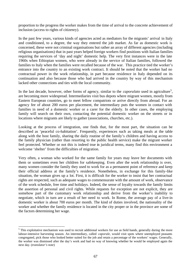proportion to the progress the worker makes from the time of arrival to the concrete achievement of inclusion (access to rights of citizenry).

In the past few years, various kinds of agencies acted as mediators for the migrants' arrival in Italy and conditioned, to a degree, the way they entered the job market. As far as domestic work is concerned, these were not criminal organisations but rather an array of different agencies (including religious organisations) that in past years helped foreign workers find positions with Italian families requiring the services of 'day and night' domestic help. The very first instances were in the late 1960s when Ethiopian women, who were already in the service of Italian families, followed the families to Italy when the families were recalled because of the war. This practice tied the worker's entrance into the country to an existing work contract. It should be noted that the worker had no contractual power in the work relationship, in part because residence in Italy depended on its continuation and also because those who had arrived in the country by way of this mechanism lacked other connections and ties with the local community.

In the last decade, however, other forms of agency, similar to the *caporalato* used in agriculture<sup>5</sup>, are becoming more widespread. Intermediaries visit bus depots where migrant women, mostly from Eastern European countries, go to meet fellow compatriots or arrive directly from abroad. For an agency fee of about 200 euros per placement, the intermediary puts the women in contact with families in need of a domestic worker or a carer for the elderly. In other cases, the employing family will search on their own, contacting the potential domestic worker on the streets or in locations where migrants are likely to gather (associations, churches, etc.).

Looking at the process of integration, one finds that, for the most part, the situation can be described as 'peaceful co-habitation'. Frequently, experiences such as taking meals at the table along with the host family, sharing the daily routine of the family's children and having access to the family physician (rather than resorting to the public health service) make the migrant worker feel protected. Whether or not this is indeed true in juridical terms, many find this environment a welcome 'shelter' from the difficulties of migration.

Very often, a woman who worked for the same family for years may leave her documents with them or sometimes even her children for safekeeping. Even after the work relationship is over, many women consider the family they used to work for as a permanent point of reference and keep their official address at the family's residence. Nonetheless, in exchange for this family-like situation, the woman gives up a lot. First, it is difficult for the worker to insist that her contractual rights are respected, such as adequate wages to commensurate with the amount of work, observance of the work schedule, free time and holidays. Indeed, the sense of loyalty towards the family limits the assertion of personal and civil rights. While requests for exception are not explicit, they are somehow part of the customary work relationship and derive from the worker's inability to negotiate, which in turn are a result of her need to work. In Rome, the average pay of a live-in domestic worker is about 700 euros per month. The kind of duties involved, the nationality of the worker and whether the family residence is located in the city proper or in the province are some of the factors determining her wage.

 $\overline{a}$ 

<sup>&</sup>lt;sup>5</sup> This exploitative mechanism was used to recruit additional workers for use as field hands, generally during the more labour-intensive harvesting season. An intermediary, called *caporale*, would visit spots where unemployed peasants congregated, pick those who looked better suited for the job and retain a percentage of the workers' wages. Generally, the worker was dismissed after the day's work and had no way of knowing whether he would be employed again the next day. (*translator's note*)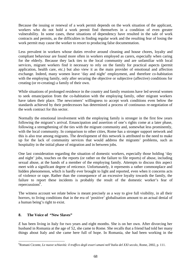Because the issuing or renewal of a work permit depends on the work situation of the applicant, workers who do not hold a work permit find themselves in a condition of even greater vulnerability. In some cases, these situations of dependency have resulted in the sale of work contracts and permits, as the difficulties in finding regular work and the resulting fear of losing the work permit may cause the worker to resort to producing false documentation.

Less prevalent in workers whose duties revolve around cleaning and house chores, loyalty and compliant behaviour are found more often in workers employed as carers, especially when caring for the elderly. Because they lack ties to the local community and are unfamiliar with local services, migrant workers find it necessary to rely on the family for practical aspects (permit application, health care, etc.) but also view it as the main provider of emotional and affection exchange. Indeed, many women leave 'day and night' employment, and therefore co-habitation with the employing family, only after securing the objective or subjective (affective) conditions for creating (or re-creating) a family of their own.

While situations of prolonged residence in the country and family reunions have led several women to seek emancipation from the co-habitation with the employing family, other migrant workers have taken their place. The newcomers' willingness to accept work conditions even below the standards achieved by their predecessors has determined a process of continuous re-negotiation of the work contract for this sector.

Normally the emotional involvement with the employing family is stronger in the first few years following the migrant's arrival. Emancipation and assertion of one's rights come at a later phase, following a strengthening of the ties with the migrant community and, somewhat less prominently, with the local community. In comparison to other cities, Rome has a stronger support network and this is also true among migrants. The development of this network is attributed to the need to make up for the lack of community services that would address the migrants' problems, such as hospitality in the initial phase of migration and in between jobs.

One last consideration regarding the situation of domestic workers, especially those holding 'day and night' jobs, touches on the reports (or rather on the failure to file reports) of abuse, including sexual abuse, at the hands of a member of the employing family. Attempts to discuss this aspect meet with a significant degree of reticence. Unfortunately, it represents a rather commonplace and hidden phenomenon, which is hardly ever brought to light and reported, even when it concerns acts of violence or rape. Rather than the consequence of an excessive loyalty towards the family, the failure to report these incidents is probably the result of the domestic worker's fear of repercussions<sup>6</sup>.

The witness account we relate below is meant precisely as a way to give full visibility, in all their horrors, to living conditions that in the era of 'positive' globalisation amount to an actual denial of a human being's right to exist.

# **8. The Voice of "New Slaves"**

*E* has been living in Italy for two years and eight months. She is on her own. After divorcing her husband in Romania at the age of 52, she came to Rome. She recalls that a friend had told her many things about Italy and she came here full of hope. In Romania, she had been working in the

 $\overline{a}$ <sup>6</sup>Romani Ciconte, *Le nuove schiavitù: il traffico degli esseri umani nell'Italia del XXI secolo*, Rome, 2002, p. 111.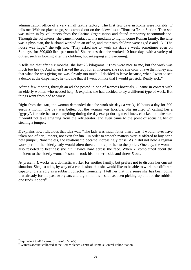administration office of a very small textile factory. The first few days in Rome were horrible, *E* tells me. With no place to go, she camped out on the sidewalks at Tiburtina Train Station. Then she was taken in by volunteers from the Caritas Organisation and found temporary accommodation. Through the volunteers, she came in contact with a medium to high income Roman family: the wife was a physician, the husband worked in an office, and their two children were aged 8 and 13. "The house was huge," she tells me. "They asked me to work six days a week, sometimes even on Sundays, for  $800,000$  lire<sup>7</sup> per month." She relates that she worked 10-hour days with a variety of duties, such as looking after the children, housekeeping and gardening.

*E* tells me that after six months, she lost 23 kilograms. "They were nice to me, but the work was much too heavy. And when I asked the lady for an increase, she said she didn't have the money and that what she was giving me was already too much. I decided to leave because, when I went to see a doctor at the dispensary, he told me that if I went on like that I would get sick. Really sick."

After a few months, through an ad she posted in one of Rome's hospitals, *E* came in contact with an elderly woman who needed help. *E* explains she had decided to try a different type of work. But things went from bad to worse.

Right from the start, the woman demanded that she work six days a week, 10 hours a day for 500 euros a month. The pay was better, but the woman was horrible. She insulted *E*, calling her a "gypsy", forbade her to eat anything during the day except during mealtimes, checked to make sure *E* would not take anything from the refrigerator, and even came to the point of accusing her of stealing a jumper.

*E* explains how ridiculous that idea was: "The lady was much fatter than I was. I would never have taken one of her jumpers, not even for fun." In order to smooth matters over, *E* offered to buy her a new jumper. Nonetheless, the relationship became increasingly tense. As *E* did not hold a regular work permit, the elderly lady would often threaten to report her to the police. One day, the woman also resorted to beatings: she hit *E* twice hard across the face. When *E* complained about the incident to the elderly woman's son, he took his mother's side and threw *E* out.

At present, *E* works as a domestic worker for another family, but prefers not to discuss her current situation. She just adds, by way of a conclusion, that she would like to be able to work in a different capacity, preferably as a rubbish collector. Ironically, I tell her that in a sense she has been doing that already for the past two years and eight months – she has been picking up a lot of the rubbish one finds indoors $8$ .

 $\overline{a}$ 

<sup>7</sup> Equivalent to 413 euros. (*translator's note*)

<sup>&</sup>lt;sup>8</sup> Witness account collected at the Anti-violence Centre of Rome's Central Police Station.